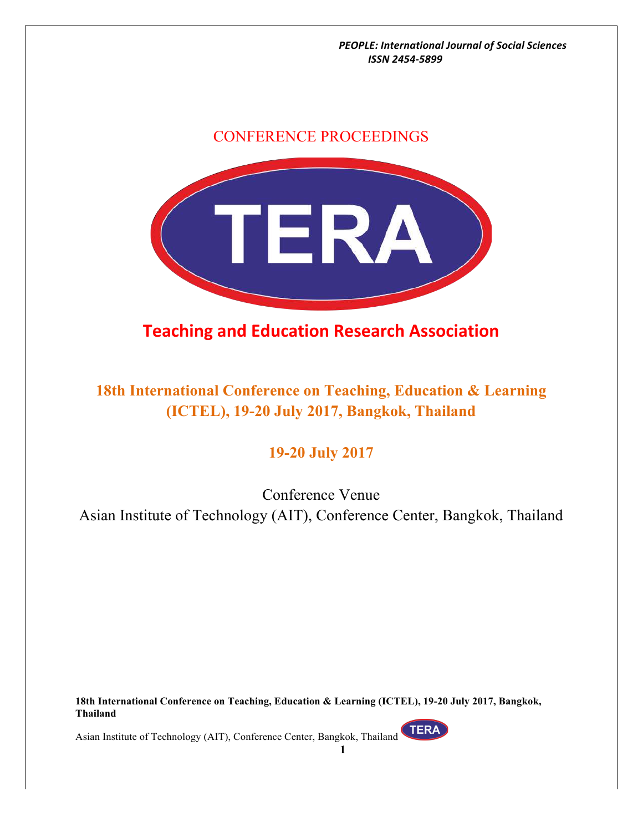### CONFERENCE PROCEEDINGS



# **Teaching and Education Research Association**

## **18th International Conference on Teaching, Education & Learning (ICTEL), 19-20 July 2017, Bangkok, Thailand**

### **19-20 July 2017**

Conference Venue Asian Institute of Technology (AIT), Conference Center, Bangkok, Thailand

**18th International Conference on Teaching, Education & Learning (ICTEL), 19-20 July 2017, Bangkok, Thailand**

**TERA**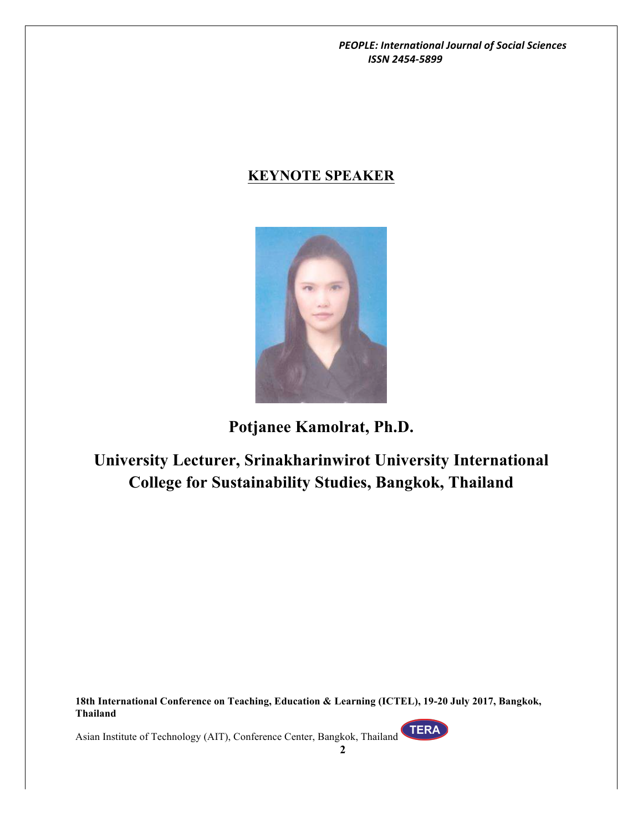### **KEYNOTE SPEAKER**



**Potjanee Kamolrat, Ph.D.**

**University Lecturer, Srinakharinwirot University International College for Sustainability Studies, Bangkok, Thailand**

**18th International Conference on Teaching, Education & Learning (ICTEL), 19-20 July 2017, Bangkok, Thailand**

Asian Institute of Technology (AIT), Conference Center, Bangkok, Thailand

TERA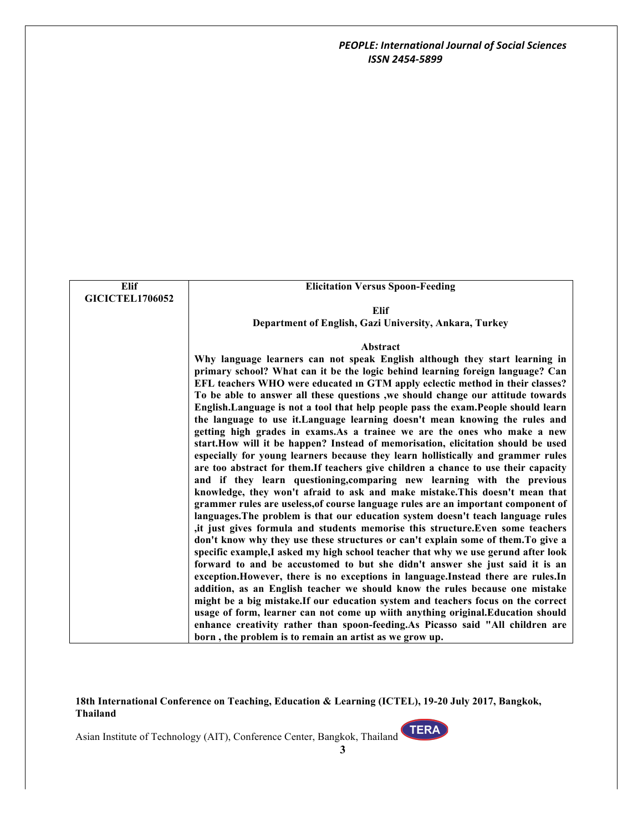| Elif                   | <b>Elicitation Versus Spoon-Feeding</b>                                             |
|------------------------|-------------------------------------------------------------------------------------|
| <b>GICICTEL1706052</b> |                                                                                     |
|                        | <b>Elif</b>                                                                         |
|                        | Department of English, Gazi University, Ankara, Turkey                              |
|                        |                                                                                     |
|                        | <b>Abstract</b>                                                                     |
|                        | Why language learners can not speak English although they start learning in         |
|                        | primary school? What can it be the logic behind learning foreign language? Can      |
|                        | EFL teachers WHO were educated in GTM apply eclectic method in their classes?       |
|                        | To be able to answer all these questions , we should change our attitude towards    |
|                        | English. Language is not a tool that help people pass the exam. People should learn |
|                        | the language to use it. Language learning doesn't mean knowing the rules and        |
|                        | getting high grades in exams. As a trainee we are the ones who make a new           |
|                        | start.How will it be happen? Instead of memorisation, elicitation should be used    |
|                        | especially for young learners because they learn hollistically and grammer rules    |
|                        | are too abstract for them. If teachers give children a chance to use their capacity |
|                        | and if they learn questioning, comparing new learning with the previous             |
|                        | knowledge, they won't afraid to ask and make mistake. This doesn't mean that        |
|                        | grammer rules are useless, of course language rules are an important component of   |
|                        | languages. The problem is that our education system doesn't teach language rules    |
|                        | ,it just gives formula and students memorise this structure. Even some teachers     |
|                        | don't know why they use these structures or can't explain some of them. To give a   |
|                        | specific example, I asked my high school teacher that why we use gerund after look  |
|                        | forward to and be accustomed to but she didn't answer she just said it is an        |
|                        | exception. However, there is no exceptions in language. Instead there are rules. In |
|                        | addition, as an English teacher we should know the rules because one mistake        |
|                        | might be a big mistake.If our education system and teachers focus on the correct    |
|                        | usage of form, learner can not come up wiith anything original. Education should    |
|                        | enhance creativity rather than spoon-feeding.As Picasso said "All children are      |
|                        | born, the problem is to remain an artist as we grow up.                             |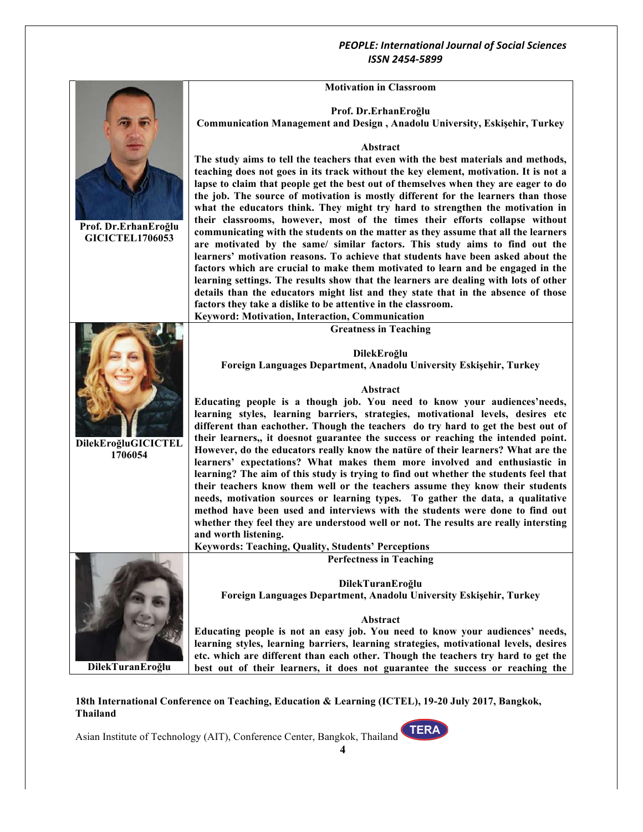#### **Motivation in Classroom**

|                                                | <b>Motivation in Classroom</b>                                                                                                                                    |
|------------------------------------------------|-------------------------------------------------------------------------------------------------------------------------------------------------------------------|
|                                                |                                                                                                                                                                   |
|                                                | Prof. Dr.ErhanEroğlu<br><b>Communication Management and Design, Anadolu University, Eskişehir, Turkey</b>                                                         |
|                                                |                                                                                                                                                                   |
|                                                | Abstract                                                                                                                                                          |
|                                                | The study aims to tell the teachers that even with the best materials and methods,                                                                                |
|                                                | teaching does not goes in its track without the key element, motivation. It is not a                                                                              |
|                                                | lapse to claim that people get the best out of themselves when they are eager to do                                                                               |
|                                                | the job. The source of motivation is mostly different for the learners than those                                                                                 |
|                                                | what the educators think. They might try hard to strengthen the motivation in                                                                                     |
|                                                | their classrooms, however, most of the times their efforts collapse without                                                                                       |
| Prof. Dr.ErhanEroğlu<br><b>GICICTEL1706053</b> | communicating with the students on the matter as they assume that all the learners                                                                                |
|                                                | are motivated by the same/ similar factors. This study aims to find out the                                                                                       |
|                                                | learners' motivation reasons. To achieve that students have been asked about the                                                                                  |
|                                                | factors which are crucial to make them motivated to learn and be engaged in the                                                                                   |
|                                                | learning settings. The results show that the learners are dealing with lots of other                                                                              |
|                                                | details than the educators might list and they state that in the absence of those                                                                                 |
|                                                | factors they take a dislike to be attentive in the classroom.                                                                                                     |
|                                                | Keyword: Motivation, Interaction, Communication                                                                                                                   |
|                                                | <b>Greatness in Teaching</b>                                                                                                                                      |
|                                                | DilekEroğlu                                                                                                                                                       |
|                                                | Foreign Languages Department, Anadolu University Eskişehir, Turkey                                                                                                |
|                                                |                                                                                                                                                                   |
|                                                | Abstract                                                                                                                                                          |
|                                                | Educating people is a though job. You need to know your audiences'needs,                                                                                          |
|                                                | learning styles, learning barriers, strategies, motivational levels, desires etc                                                                                  |
|                                                | different than eachother. Though the teachers do try hard to get the best out of                                                                                  |
| DilekEroğluGICICTEL                            | their learners,, it doesnot guarantee the success or reaching the intended point.                                                                                 |
| 1706054                                        | However, do the educators really know the nature of their learners? What are the                                                                                  |
|                                                | learners' expectations? What makes them more involved and enthusiastic in<br>learning? The aim of this study is trying to find out whether the students feel that |
|                                                | their teachers know them well or the teachers assume they know their students                                                                                     |
|                                                | needs, motivation sources or learning types. To gather the data, a qualitative                                                                                    |
|                                                | method have been used and interviews with the students were done to find out                                                                                      |
|                                                | whether they feel they are understood well or not. The results are really intersting                                                                              |
|                                                | and worth listening.                                                                                                                                              |
|                                                | <b>Keywords: Teaching, Quality, Students' Perceptions</b>                                                                                                         |
|                                                | <b>Perfectness in Teaching</b>                                                                                                                                    |
|                                                |                                                                                                                                                                   |
|                                                | DilekTuranEroğlu                                                                                                                                                  |
|                                                | Foreign Languages Department, Anadolu University Eskişehir, Turkey                                                                                                |
|                                                | Abstract                                                                                                                                                          |
|                                                | Educating people is not an easy job. You need to know your audiences' needs,                                                                                      |
|                                                | learning styles, learning barriers, learning strategies, motivational levels, desires                                                                             |
|                                                | etc. which are different than each other. Though the teachers try hard to get the                                                                                 |
| DilekTuranEroğlu                               | best out of their learners, it does not guarantee the success or reaching the                                                                                     |

#### **18th International Conference on Teaching, Education & Learning (ICTEL), 19-20 July 2017, Bangkok, Thailand**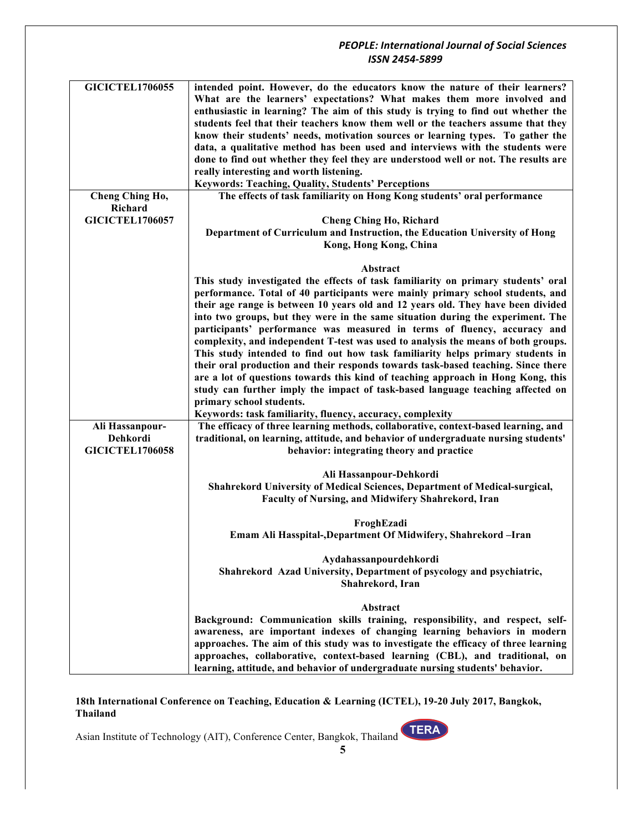| <b>GICICTEL1706055</b> | intended point. However, do the educators know the nature of their learners?        |
|------------------------|-------------------------------------------------------------------------------------|
|                        | What are the learners' expectations? What makes them more involved and              |
|                        | enthusiastic in learning? The aim of this study is trying to find out whether the   |
|                        | students feel that their teachers know them well or the teachers assume that they   |
|                        | know their students' needs, motivation sources or learning types. To gather the     |
|                        | data, a qualitative method has been used and interviews with the students were      |
|                        | done to find out whether they feel they are understood well or not. The results are |
|                        | really interesting and worth listening.                                             |
|                        | Keywords: Teaching, Quality, Students' Perceptions                                  |
| Cheng Ching Ho,        | The effects of task familiarity on Hong Kong students' oral performance             |
| Richard                |                                                                                     |
| <b>GICICTEL1706057</b> | <b>Cheng Ching Ho, Richard</b>                                                      |
|                        | Department of Curriculum and Instruction, the Education University of Hong          |
|                        | Kong, Hong Kong, China                                                              |
|                        |                                                                                     |
|                        | Abstract                                                                            |
|                        | This study investigated the effects of task familiarity on primary students' oral   |
|                        | performance. Total of 40 participants were mainly primary school students, and      |
|                        | their age range is between 10 years old and 12 years old. They have been divided    |
|                        | into two groups, but they were in the same situation during the experiment. The     |
|                        | participants' performance was measured in terms of fluency, accuracy and            |
|                        | complexity, and independent T-test was used to analysis the means of both groups.   |
|                        | This study intended to find out how task familiarity helps primary students in      |
|                        |                                                                                     |
|                        | their oral production and their responds towards task-based teaching. Since there   |
|                        | are a lot of questions towards this kind of teaching approach in Hong Kong, this    |
|                        | study can further imply the impact of task-based language teaching affected on      |
|                        | primary school students.                                                            |
|                        | Keywords: task familiarity, fluency, accuracy, complexity                           |
| Ali Hassanpour-        | The efficacy of three learning methods, collaborative, context-based learning, and  |
| Dehkordi               | traditional, on learning, attitude, and behavior of undergraduate nursing students' |
| <b>GICICTEL1706058</b> | behavior: integrating theory and practice                                           |
|                        |                                                                                     |
|                        | Ali Hassanpour-Dehkordi                                                             |
|                        | Shahrekord University of Medical Sciences, Department of Medical-surgical,          |
|                        | Faculty of Nursing, and Midwifery Shahrekord, Iran                                  |
|                        | FroghEzadi                                                                          |
|                        | Emam Ali Hasspital-, Department Of Midwifery, Shahrekord -Iran                      |
|                        |                                                                                     |
|                        | Aydahassanpourdehkordi                                                              |
|                        | Shahrekord Azad University, Department of psycology and psychiatric,                |
|                        | Shahrekord, Iran                                                                    |
|                        |                                                                                     |
|                        | Abstract                                                                            |
|                        | Background: Communication skills training, responsibility, and respect, self-       |
|                        | awareness, are important indexes of changing learning behaviors in modern           |
|                        | approaches. The aim of this study was to investigate the efficacy of three learning |
|                        | approaches, collaborative, context-based learning (CBL), and traditional, on        |
|                        | learning, attitude, and behavior of undergraduate nursing students' behavior.       |

**18th International Conference on Teaching, Education & Learning (ICTEL), 19-20 July 2017, Bangkok, Thailand**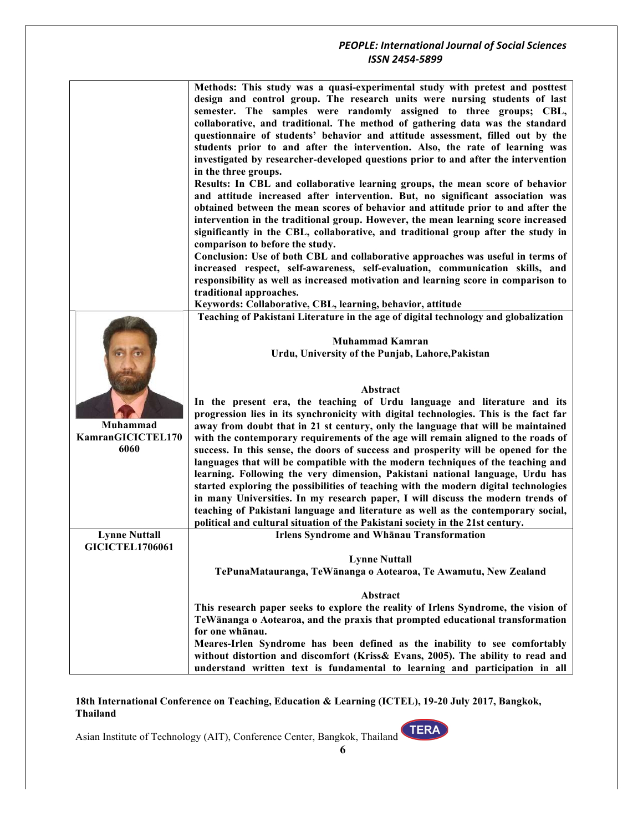#### *PEOPLE: International Journal of Social Sciences ISSN 2454-5899* **Methods: This study was a quasi-experimental study with pretest and posttest design and control group. The research units were nursing students of last semester. The samples were randomly assigned to three groups; CBL, collaborative, and traditional. The method of gathering data was the standard questionnaire of students' behavior and attitude assessment, filled out by the students prior to and after the intervention. Also, the rate of learning was investigated by researcher-developed questions prior to and after the intervention in the three groups. Results: In CBL and collaborative learning groups, the mean score of behavior and attitude increased after intervention. But, no significant association was obtained between the mean scores of behavior and attitude prior to and after the intervention in the traditional group. However, the mean learning score increased significantly in the CBL, collaborative, and traditional group after the study in comparison to before the study. Conclusion: Use of both CBL and collaborative approaches was useful in terms of increased respect, self-awareness, self-evaluation, communication skills, and responsibility as well as increased motivation and learning score in comparison to traditional approaches. Keywords: Collaborative, CBL, learning, behavior, attitude Muhammad KamranGICICTEL170 6060 Teaching of Pakistani Literature in the age of digital technology and globalization Muhammad Kamran Urdu, University of the Punjab, Lahore,Pakistan Abstract In the present era, the teaching of Urdu language and literature and its progression lies in its synchronicity with digital technologies. This is the fact far away from doubt that in 21 st century, only the language that will be maintained with the contemporary requirements of the age will remain aligned to the roads of success. In this sense, the doors of success and prosperity will be opened for the languages that will be compatible with the modern techniques of the teaching and learning. Following the very dimension, Pakistani national language, Urdu has started exploring the possibilities of teaching with the modern digital technologies in many Universities. In my research paper, I will discuss the modern trends of teaching of Pakistani language and literature as well as the contemporary social, political and cultural situation of the Pakistani society in the 21st century. Lynne Nuttall GICICTEL1706061 Irlens Syndrome and Whānau Transformation Lynne Nuttall TePunaMatauranga, TeWānanga o Aotearoa, Te Awamutu, New Zealand Abstract This research paper seeks to explore the reality of Irlens Syndrome, the vision of TeWānanga o Aotearoa, and the praxis that prompted educational transformation for one whānau. Meares-Irlen Syndrome has been defined as the inability to see comfortably without distortion and discomfort (Kriss& Evans, 2005). The ability to read and understand written text is fundamental to learning and participation in all**

**18th International Conference on Teaching, Education & Learning (ICTEL), 19-20 July 2017, Bangkok, Thailand**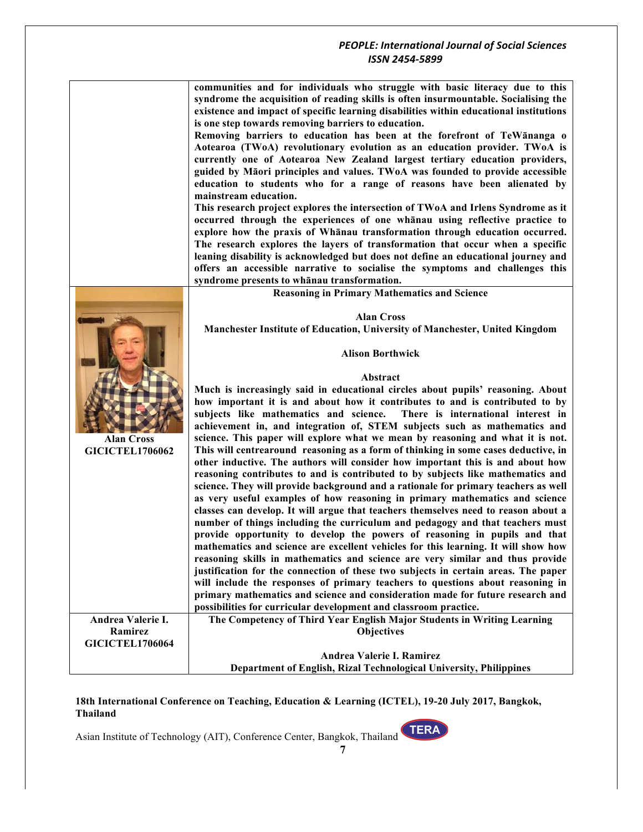|                                             | <b>PEOPLE: International Journal of Social Sciences</b>                                                                                                                                                                                                                                                                                                                                                                                                                                                                                                                                                                                                                                                                                                                                                                                                                                                                                                                                                                                                                                                                                                                   |
|---------------------------------------------|---------------------------------------------------------------------------------------------------------------------------------------------------------------------------------------------------------------------------------------------------------------------------------------------------------------------------------------------------------------------------------------------------------------------------------------------------------------------------------------------------------------------------------------------------------------------------------------------------------------------------------------------------------------------------------------------------------------------------------------------------------------------------------------------------------------------------------------------------------------------------------------------------------------------------------------------------------------------------------------------------------------------------------------------------------------------------------------------------------------------------------------------------------------------------|
|                                             | ISSN 2454-5899                                                                                                                                                                                                                                                                                                                                                                                                                                                                                                                                                                                                                                                                                                                                                                                                                                                                                                                                                                                                                                                                                                                                                            |
|                                             |                                                                                                                                                                                                                                                                                                                                                                                                                                                                                                                                                                                                                                                                                                                                                                                                                                                                                                                                                                                                                                                                                                                                                                           |
|                                             | communities and for individuals who struggle with basic literacy due to this<br>syndrome the acquisition of reading skills is often insurmountable. Socialising the<br>existence and impact of specific learning disabilities within educational institutions<br>is one step towards removing barriers to education.<br>Removing barriers to education has been at the forefront of TeWānanga o<br>Aotearoa (TWoA) revolutionary evolution as an education provider. TWoA is<br>currently one of Aotearoa New Zealand largest tertiary education providers,<br>guided by Māori principles and values. TWoA was founded to provide accessible<br>education to students who for a range of reasons have been alienated by<br>mainstream education.<br>This research project explores the intersection of TWoA and Irlens Syndrome as it<br>occurred through the experiences of one whanau using reflective practice to<br>explore how the praxis of Whanau transformation through education occurred.<br>The research explores the layers of transformation that occur when a specific<br>leaning disability is acknowledged but does not define an educational journey and |
|                                             | offers an accessible narrative to socialise the symptoms and challenges this                                                                                                                                                                                                                                                                                                                                                                                                                                                                                                                                                                                                                                                                                                                                                                                                                                                                                                                                                                                                                                                                                              |
|                                             | syndrome presents to whanau transformation.                                                                                                                                                                                                                                                                                                                                                                                                                                                                                                                                                                                                                                                                                                                                                                                                                                                                                                                                                                                                                                                                                                                               |
|                                             | <b>Reasoning in Primary Mathematics and Science</b>                                                                                                                                                                                                                                                                                                                                                                                                                                                                                                                                                                                                                                                                                                                                                                                                                                                                                                                                                                                                                                                                                                                       |
|                                             |                                                                                                                                                                                                                                                                                                                                                                                                                                                                                                                                                                                                                                                                                                                                                                                                                                                                                                                                                                                                                                                                                                                                                                           |
|                                             | <b>Alan Cross</b>                                                                                                                                                                                                                                                                                                                                                                                                                                                                                                                                                                                                                                                                                                                                                                                                                                                                                                                                                                                                                                                                                                                                                         |
|                                             | <b>Manchester Institute of Education, University of Manchester, United Kingdom</b>                                                                                                                                                                                                                                                                                                                                                                                                                                                                                                                                                                                                                                                                                                                                                                                                                                                                                                                                                                                                                                                                                        |
|                                             |                                                                                                                                                                                                                                                                                                                                                                                                                                                                                                                                                                                                                                                                                                                                                                                                                                                                                                                                                                                                                                                                                                                                                                           |
|                                             | <b>Alison Borthwick</b>                                                                                                                                                                                                                                                                                                                                                                                                                                                                                                                                                                                                                                                                                                                                                                                                                                                                                                                                                                                                                                                                                                                                                   |
|                                             | Abstract                                                                                                                                                                                                                                                                                                                                                                                                                                                                                                                                                                                                                                                                                                                                                                                                                                                                                                                                                                                                                                                                                                                                                                  |
| <b>Alan Cross</b><br><b>GICICTEL1706062</b> | Much is increasingly said in educational circles about pupils' reasoning. About<br>how important it is and about how it contributes to and is contributed to by<br>subjects like mathematics and science.<br>There is international interest in<br>achievement in, and integration of, STEM subjects such as mathematics and<br>science. This paper will explore what we mean by reasoning and what it is not.<br>This will centrearound reasoning as a form of thinking in some cases deductive, in<br>other inductive. The authors will consider how important this is and about how<br>reasoning contributes to and is contributed to by subjects like mathematics and<br>science. They will provide background and a rationale for primary teachers as well<br>as very useful examples of how reasoning in primary mathematics and science                                                                                                                                                                                                                                                                                                                            |
|                                             | classes can develop. It will argue that teachers themselves need to reason about a                                                                                                                                                                                                                                                                                                                                                                                                                                                                                                                                                                                                                                                                                                                                                                                                                                                                                                                                                                                                                                                                                        |
|                                             | number of things including the curriculum and pedagogy and that teachers must                                                                                                                                                                                                                                                                                                                                                                                                                                                                                                                                                                                                                                                                                                                                                                                                                                                                                                                                                                                                                                                                                             |
|                                             | provide opportunity to develop the powers of reasoning in pupils and that                                                                                                                                                                                                                                                                                                                                                                                                                                                                                                                                                                                                                                                                                                                                                                                                                                                                                                                                                                                                                                                                                                 |
|                                             | mathematics and science are excellent vehicles for this learning. It will show how                                                                                                                                                                                                                                                                                                                                                                                                                                                                                                                                                                                                                                                                                                                                                                                                                                                                                                                                                                                                                                                                                        |
|                                             | reasoning skills in mathematics and science are very similar and thus provide                                                                                                                                                                                                                                                                                                                                                                                                                                                                                                                                                                                                                                                                                                                                                                                                                                                                                                                                                                                                                                                                                             |
|                                             | justification for the connection of these two subjects in certain areas. The paper                                                                                                                                                                                                                                                                                                                                                                                                                                                                                                                                                                                                                                                                                                                                                                                                                                                                                                                                                                                                                                                                                        |
|                                             | will include the responses of primary teachers to questions about reasoning in                                                                                                                                                                                                                                                                                                                                                                                                                                                                                                                                                                                                                                                                                                                                                                                                                                                                                                                                                                                                                                                                                            |
|                                             | primary mathematics and science and consideration made for future research and<br>possibilities for curricular development and classroom practice.                                                                                                                                                                                                                                                                                                                                                                                                                                                                                                                                                                                                                                                                                                                                                                                                                                                                                                                                                                                                                        |
| Andrea Valerie I.                           | The Competency of Third Year English Major Students in Writing Learning                                                                                                                                                                                                                                                                                                                                                                                                                                                                                                                                                                                                                                                                                                                                                                                                                                                                                                                                                                                                                                                                                                   |
| Ramirez                                     | <b>Objectives</b>                                                                                                                                                                                                                                                                                                                                                                                                                                                                                                                                                                                                                                                                                                                                                                                                                                                                                                                                                                                                                                                                                                                                                         |
| <b>GICICTEL1706064</b>                      |                                                                                                                                                                                                                                                                                                                                                                                                                                                                                                                                                                                                                                                                                                                                                                                                                                                                                                                                                                                                                                                                                                                                                                           |
|                                             | Andrea Valerie I. Ramirez                                                                                                                                                                                                                                                                                                                                                                                                                                                                                                                                                                                                                                                                                                                                                                                                                                                                                                                                                                                                                                                                                                                                                 |
|                                             | Department of English, Rizal Technological University, Philippines                                                                                                                                                                                                                                                                                                                                                                                                                                                                                                                                                                                                                                                                                                                                                                                                                                                                                                                                                                                                                                                                                                        |

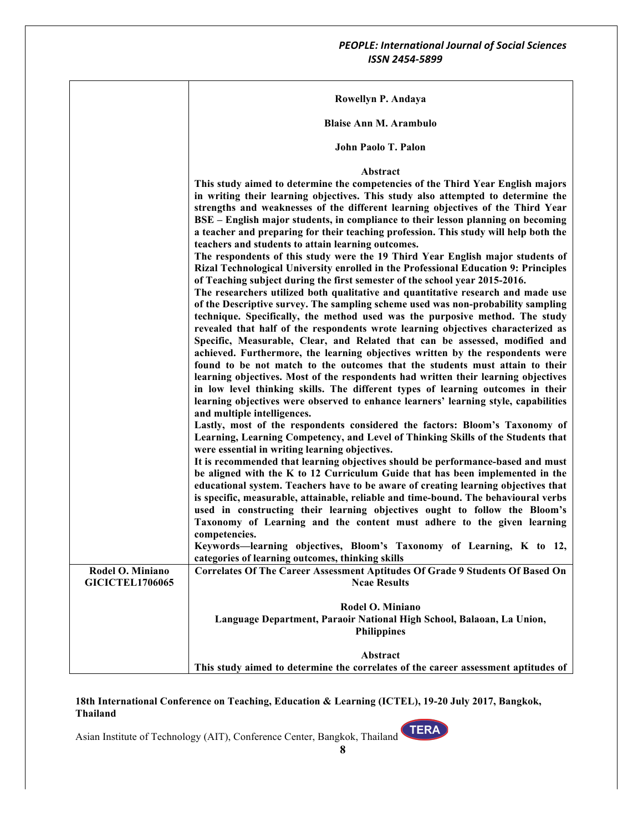|                        | Rowellyn P. Andaya                                                                                                                                                                                                                                                                                                                                                                                                                                                                                                                                                                                                                                                                                                                                                                                                                                                                                                                                                                                                                                                                                                                                                                                                                                                                                                                                                                                                                                                                                                                                                                                                                                                                                                                                                                                                                                                                                                                                                                                                                                                                                                                                                                                                                                                                                                                                                                                                                                                              |
|------------------------|---------------------------------------------------------------------------------------------------------------------------------------------------------------------------------------------------------------------------------------------------------------------------------------------------------------------------------------------------------------------------------------------------------------------------------------------------------------------------------------------------------------------------------------------------------------------------------------------------------------------------------------------------------------------------------------------------------------------------------------------------------------------------------------------------------------------------------------------------------------------------------------------------------------------------------------------------------------------------------------------------------------------------------------------------------------------------------------------------------------------------------------------------------------------------------------------------------------------------------------------------------------------------------------------------------------------------------------------------------------------------------------------------------------------------------------------------------------------------------------------------------------------------------------------------------------------------------------------------------------------------------------------------------------------------------------------------------------------------------------------------------------------------------------------------------------------------------------------------------------------------------------------------------------------------------------------------------------------------------------------------------------------------------------------------------------------------------------------------------------------------------------------------------------------------------------------------------------------------------------------------------------------------------------------------------------------------------------------------------------------------------------------------------------------------------------------------------------------------------|
|                        | <b>Blaise Ann M. Arambulo</b>                                                                                                                                                                                                                                                                                                                                                                                                                                                                                                                                                                                                                                                                                                                                                                                                                                                                                                                                                                                                                                                                                                                                                                                                                                                                                                                                                                                                                                                                                                                                                                                                                                                                                                                                                                                                                                                                                                                                                                                                                                                                                                                                                                                                                                                                                                                                                                                                                                                   |
|                        | John Paolo T. Palon                                                                                                                                                                                                                                                                                                                                                                                                                                                                                                                                                                                                                                                                                                                                                                                                                                                                                                                                                                                                                                                                                                                                                                                                                                                                                                                                                                                                                                                                                                                                                                                                                                                                                                                                                                                                                                                                                                                                                                                                                                                                                                                                                                                                                                                                                                                                                                                                                                                             |
|                        | Abstract<br>This study aimed to determine the competencies of the Third Year English majors<br>in writing their learning objectives. This study also attempted to determine the<br>strengths and weaknesses of the different learning objectives of the Third Year<br>BSE – English major students, in compliance to their lesson planning on becoming<br>a teacher and preparing for their teaching profession. This study will help both the<br>teachers and students to attain learning outcomes.<br>The respondents of this study were the 19 Third Year English major students of<br>Rizal Technological University enrolled in the Professional Education 9: Principles<br>of Teaching subject during the first semester of the school year 2015-2016.<br>The researchers utilized both qualitative and quantitative research and made use<br>of the Descriptive survey. The sampling scheme used was non-probability sampling<br>technique. Specifically, the method used was the purposive method. The study<br>revealed that half of the respondents wrote learning objectives characterized as<br>Specific, Measurable, Clear, and Related that can be assessed, modified and<br>achieved. Furthermore, the learning objectives written by the respondents were<br>found to be not match to the outcomes that the students must attain to their<br>learning objectives. Most of the respondents had written their learning objectives<br>in low level thinking skills. The different types of learning outcomes in their<br>learning objectives were observed to enhance learners' learning style, capabilities<br>and multiple intelligences.<br>Lastly, most of the respondents considered the factors: Bloom's Taxonomy of<br>Learning, Learning Competency, and Level of Thinking Skills of the Students that<br>were essential in writing learning objectives.<br>It is recommended that learning objectives should be performance-based and must<br>be aligned with the K to 12 Curriculum Guide that has been implemented in the<br>educational system. Teachers have to be aware of creating learning objectives that<br>is specific, measurable, attainable, reliable and time-bound. The behavioural verbs<br>used in constructing their learning objectives ought to follow the Bloom's<br>Taxonomy of Learning and the content must adhere to the given learning<br>competencies.<br>Keywords—learning objectives, Bloom's Taxonomy of Learning, K to 12, |
| Rodel O. Miniano       | categories of learning outcomes, thinking skills<br>Correlates Of The Career Assessment Aptitudes Of Grade 9 Students Of Based On                                                                                                                                                                                                                                                                                                                                                                                                                                                                                                                                                                                                                                                                                                                                                                                                                                                                                                                                                                                                                                                                                                                                                                                                                                                                                                                                                                                                                                                                                                                                                                                                                                                                                                                                                                                                                                                                                                                                                                                                                                                                                                                                                                                                                                                                                                                                               |
| <b>GICICTEL1706065</b> | <b>Ncae Results</b>                                                                                                                                                                                                                                                                                                                                                                                                                                                                                                                                                                                                                                                                                                                                                                                                                                                                                                                                                                                                                                                                                                                                                                                                                                                                                                                                                                                                                                                                                                                                                                                                                                                                                                                                                                                                                                                                                                                                                                                                                                                                                                                                                                                                                                                                                                                                                                                                                                                             |
|                        | Rodel O. Miniano<br>Language Department, Paraoir National High School, Balaoan, La Union,<br><b>Philippines</b>                                                                                                                                                                                                                                                                                                                                                                                                                                                                                                                                                                                                                                                                                                                                                                                                                                                                                                                                                                                                                                                                                                                                                                                                                                                                                                                                                                                                                                                                                                                                                                                                                                                                                                                                                                                                                                                                                                                                                                                                                                                                                                                                                                                                                                                                                                                                                                 |
|                        | Abstract<br>This study aimed to determine the correlates of the career assessment aptitudes of                                                                                                                                                                                                                                                                                                                                                                                                                                                                                                                                                                                                                                                                                                                                                                                                                                                                                                                                                                                                                                                                                                                                                                                                                                                                                                                                                                                                                                                                                                                                                                                                                                                                                                                                                                                                                                                                                                                                                                                                                                                                                                                                                                                                                                                                                                                                                                                  |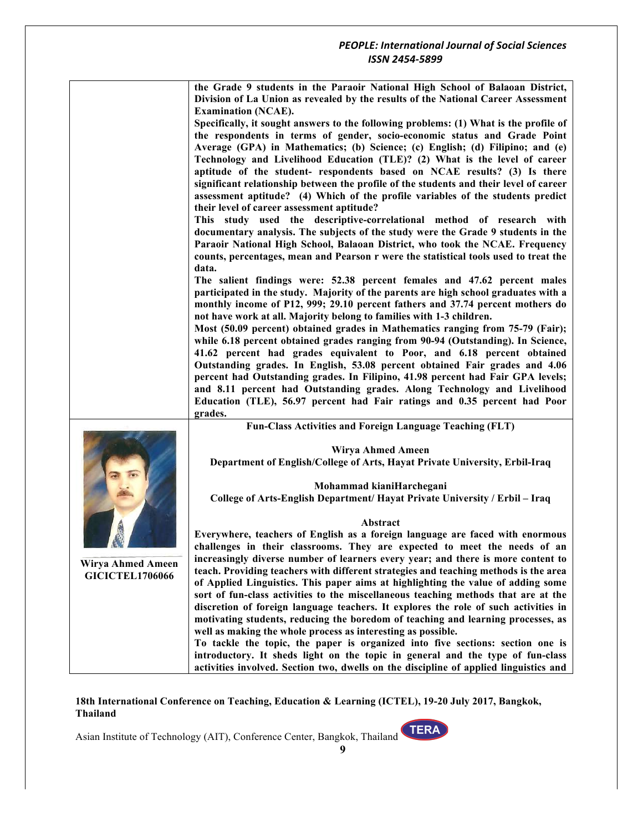|                                             | the Grade 9 students in the Paraoir National High School of Balaoan District,                                                                    |
|---------------------------------------------|--------------------------------------------------------------------------------------------------------------------------------------------------|
|                                             | Division of La Union as revealed by the results of the National Career Assessment                                                                |
|                                             | <b>Examination (NCAE).</b>                                                                                                                       |
|                                             | Specifically, it sought answers to the following problems: (1) What is the profile of                                                            |
|                                             | the respondents in terms of gender, socio-economic status and Grade Point                                                                        |
|                                             | Average (GPA) in Mathematics; (b) Science; (c) English; (d) Filipino; and (e)                                                                    |
|                                             | Technology and Livelihood Education (TLE)? (2) What is the level of career                                                                       |
|                                             | aptitude of the student- respondents based on NCAE results? (3) Is there                                                                         |
|                                             | significant relationship between the profile of the students and their level of career                                                           |
|                                             | assessment aptitude? (4) Which of the profile variables of the students predict                                                                  |
|                                             | their level of career assessment aptitude?                                                                                                       |
|                                             | This study used the descriptive-correlational method of research with                                                                            |
|                                             | documentary analysis. The subjects of the study were the Grade 9 students in the                                                                 |
|                                             | Paraoir National High School, Balaoan District, who took the NCAE. Frequency                                                                     |
|                                             | counts, percentages, mean and Pearson r were the statistical tools used to treat the                                                             |
|                                             | data.                                                                                                                                            |
|                                             | The salient findings were: 52.38 percent females and 47.62 percent males                                                                         |
|                                             | participated in the study. Majority of the parents are high school graduates with a                                                              |
|                                             | monthly income of P12, 999; 29.10 percent fathers and 37.74 percent mothers do                                                                   |
|                                             | not have work at all. Majority belong to families with 1-3 children.                                                                             |
|                                             | Most (50.09 percent) obtained grades in Mathematics ranging from 75-79 (Fair);                                                                   |
|                                             | while 6.18 percent obtained grades ranging from 90-94 (Outstanding). In Science,                                                                 |
|                                             | 41.62 percent had grades equivalent to Poor, and 6.18 percent obtained                                                                           |
|                                             | Outstanding grades. In English, 53.08 percent obtained Fair grades and 4.06                                                                      |
|                                             | percent had Outstanding grades. In Filipino, 41.98 percent had Fair GPA levels;                                                                  |
|                                             | and 8.11 percent had Outstanding grades. Along Technology and Livelihood                                                                         |
|                                             | Education (TLE), 56.97 percent had Fair ratings and 0.35 percent had Poor                                                                        |
|                                             | grades.                                                                                                                                          |
|                                             | Fun-Class Activities and Foreign Language Teaching (FLT)                                                                                         |
|                                             |                                                                                                                                                  |
|                                             | Wirya Ahmed Ameen                                                                                                                                |
|                                             | Department of English/College of Arts, Hayat Private University, Erbil-Iraq                                                                      |
|                                             |                                                                                                                                                  |
|                                             | Mohammad kianiHarchegani                                                                                                                         |
|                                             | College of Arts-English Department/ Hayat Private University / Erbil - Iraq                                                                      |
|                                             |                                                                                                                                                  |
|                                             | Abstract                                                                                                                                         |
|                                             | Everywhere, teachers of English as a foreign language are faced with enormous                                                                    |
|                                             | challenges in their classrooms. They are expected to meet the needs of an                                                                        |
| Wirya Ahmed Ameen<br><b>GICICTEL1706066</b> | increasingly diverse number of learners every year; and there is more content to                                                                 |
|                                             | teach. Providing teachers with different strategies and teaching methods is the area                                                             |
|                                             | of Applied Linguistics. This paper aims at highlighting the value of adding some                                                                 |
|                                             | sort of fun-class activities to the miscellaneous teaching methods that are at the                                                               |
|                                             | discretion of foreign language teachers. It explores the role of such activities in                                                              |
|                                             | motivating students, reducing the boredom of teaching and learning processes, as<br>well as making the whole process as interesting as possible. |
|                                             |                                                                                                                                                  |
|                                             | To tackle the topic, the paper is organized into five sections: section one is                                                                   |
|                                             | introductory. It sheds light on the topic in general and the type of fun-class                                                                   |
|                                             | activities involved. Section two, dwells on the discipline of applied linguistics and                                                            |

**9**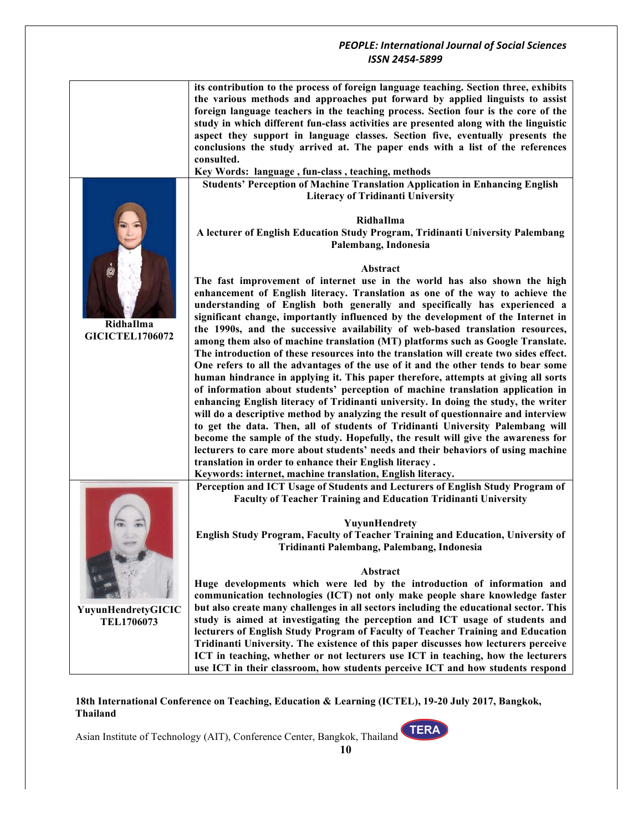#### *PEOPLE: International Journal of Social Sciences ISSN 2454-5899* **its contribution to the process of foreign language teaching. Section three, exhibits the various methods and approaches put forward by applied linguists to assist foreign language teachers in the teaching process. Section four is the core of the study in which different fun-class activities are presented along with the linguistic aspect they support in language classes. Section five, eventually presents the conclusions the study arrived at. The paper ends with a list of the references consulted. Key Words: language , fun-class , teaching, methods RidhaIlma GICICTEL1706072 Students' Perception of Machine Translation Application in Enhancing English Literacy of Tridinanti University RidhaIlma A lecturer of English Education Study Program, Tridinanti University Palembang Palembang, Indonesia Abstract The fast improvement of internet use in the world has also shown the high enhancement of English literacy. Translation as one of the way to achieve the understanding of English both generally and specifically has experienced a significant change, importantly influenced by the development of the Internet in the 1990s, and the successive availability of web-based translation resources, among them also of machine translation (MT) platforms such as Google Translate. The introduction of these resources into the translation will create two sides effect. One refers to all the advantages of the use of it and the other tends to bear some human hindrance in applying it. This paper therefore, attempts at giving all sorts of information about students' perception of machine translation application in enhancing English literacy of Tridinanti university. In doing the study, the writer will do a descriptive method by analyzing the result of questionnaire and interview to get the data. Then, all of students of Tridinanti University Palembang will become the sample of the study. Hopefully, the result will give the awareness for lecturers to care more about students' needs and their behaviors of using machine translation in order to enhance their English literacy . Keywords: internet, machine translation, English literacy. YuyunHendretyGICIC TEL1706073 Perception and ICT Usage of Students and Lecturers of English Study Program of Faculty of Teacher Training and Education Tridinanti University YuyunHendrety English Study Program, Faculty of Teacher Training and Education, University of Tridinanti Palembang, Palembang, Indonesia Abstract Huge developments which were led by the introduction of information and communication technologies (ICT) not only make people share knowledge faster but also create many challenges in all sectors including the educational sector. This study is aimed at investigating the perception and ICT usage of students and**

**lecturers of English Study Program of Faculty of Teacher Training and Education Tridinanti University. The existence of this paper discusses how lecturers perceive ICT in teaching, whether or not lecturers use ICT in teaching, how the lecturers use ICT in their classroom, how students perceive ICT and how students respond** 

#### **18th International Conference on Teaching, Education & Learning (ICTEL), 19-20 July 2017, Bangkok, Thailand**

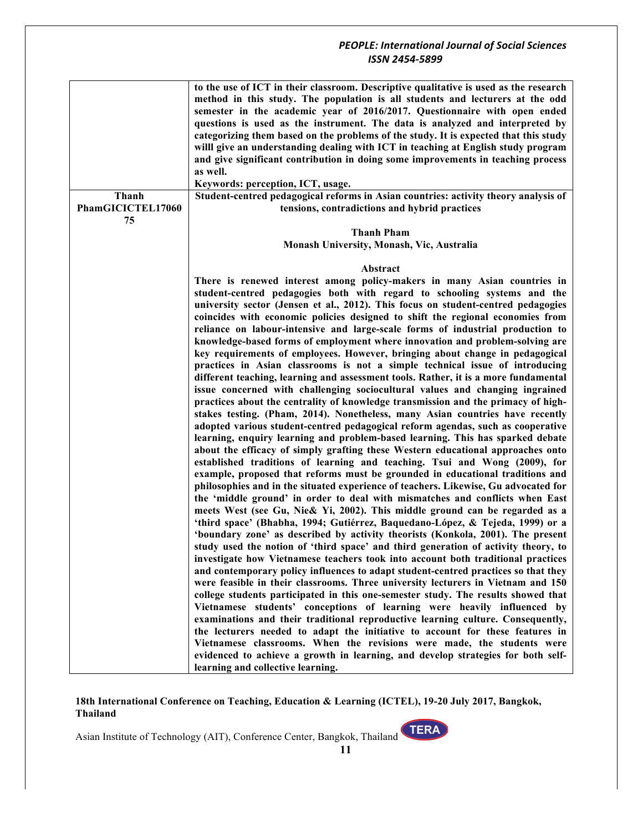| Thanh             | to the use of ICT in their classroom. Descriptive qualitative is used as the research<br>method in this study. The population is all students and lecturers at the odd<br>semester in the academic year of 2016/2017. Questionnaire with open ended<br>questions is used as the instrument. The data is analyzed and interpreted by<br>categorizing them based on the problems of the study. It is expected that this study<br>willl give an understanding dealing with ICT in teaching at English study program<br>and give significant contribution in doing some improvements in teaching process<br>as well.<br>Keywords: perception, ICT, usage.<br>Student-centred pedagogical reforms in Asian countries: activity theory analysis of                                                                                                                                                                                                                                                                                                                                                                                                                                                                                                                                                                                                                                                                                                                                                                                                                                                                                                                                                                                                                                                                                                                                                                                                               |
|-------------------|------------------------------------------------------------------------------------------------------------------------------------------------------------------------------------------------------------------------------------------------------------------------------------------------------------------------------------------------------------------------------------------------------------------------------------------------------------------------------------------------------------------------------------------------------------------------------------------------------------------------------------------------------------------------------------------------------------------------------------------------------------------------------------------------------------------------------------------------------------------------------------------------------------------------------------------------------------------------------------------------------------------------------------------------------------------------------------------------------------------------------------------------------------------------------------------------------------------------------------------------------------------------------------------------------------------------------------------------------------------------------------------------------------------------------------------------------------------------------------------------------------------------------------------------------------------------------------------------------------------------------------------------------------------------------------------------------------------------------------------------------------------------------------------------------------------------------------------------------------------------------------------------------------------------------------------------------------|
| PhamGICICTEL17060 | tensions, contradictions and hybrid practices                                                                                                                                                                                                                                                                                                                                                                                                                                                                                                                                                                                                                                                                                                                                                                                                                                                                                                                                                                                                                                                                                                                                                                                                                                                                                                                                                                                                                                                                                                                                                                                                                                                                                                                                                                                                                                                                                                              |
| 75                |                                                                                                                                                                                                                                                                                                                                                                                                                                                                                                                                                                                                                                                                                                                                                                                                                                                                                                                                                                                                                                                                                                                                                                                                                                                                                                                                                                                                                                                                                                                                                                                                                                                                                                                                                                                                                                                                                                                                                            |
|                   | <b>Thanh Pham</b>                                                                                                                                                                                                                                                                                                                                                                                                                                                                                                                                                                                                                                                                                                                                                                                                                                                                                                                                                                                                                                                                                                                                                                                                                                                                                                                                                                                                                                                                                                                                                                                                                                                                                                                                                                                                                                                                                                                                          |
|                   | Monash University, Monash, Vic, Australia                                                                                                                                                                                                                                                                                                                                                                                                                                                                                                                                                                                                                                                                                                                                                                                                                                                                                                                                                                                                                                                                                                                                                                                                                                                                                                                                                                                                                                                                                                                                                                                                                                                                                                                                                                                                                                                                                                                  |
|                   |                                                                                                                                                                                                                                                                                                                                                                                                                                                                                                                                                                                                                                                                                                                                                                                                                                                                                                                                                                                                                                                                                                                                                                                                                                                                                                                                                                                                                                                                                                                                                                                                                                                                                                                                                                                                                                                                                                                                                            |
|                   | Abstract                                                                                                                                                                                                                                                                                                                                                                                                                                                                                                                                                                                                                                                                                                                                                                                                                                                                                                                                                                                                                                                                                                                                                                                                                                                                                                                                                                                                                                                                                                                                                                                                                                                                                                                                                                                                                                                                                                                                                   |
|                   | There is renewed interest among policy-makers in many Asian countries in                                                                                                                                                                                                                                                                                                                                                                                                                                                                                                                                                                                                                                                                                                                                                                                                                                                                                                                                                                                                                                                                                                                                                                                                                                                                                                                                                                                                                                                                                                                                                                                                                                                                                                                                                                                                                                                                                   |
|                   | student-centred pedagogies both with regard to schooling systems and the<br>university sector (Jensen et al., 2012). This focus on student-centred pedagogies<br>coincides with economic policies designed to shift the regional economies from<br>reliance on labour-intensive and large-scale forms of industrial production to<br>knowledge-based forms of employment where innovation and problem-solving are<br>key requirements of employees. However, bringing about change in pedagogical<br>practices in Asian classrooms is not a simple technical issue of introducing<br>different teaching, learning and assessment tools. Rather, it is a more fundamental<br>issue concerned with challenging sociocultural values and changing ingrained<br>practices about the centrality of knowledge transmission and the primacy of high-<br>stakes testing. (Pham, 2014). Nonetheless, many Asian countries have recently<br>adopted various student-centred pedagogical reform agendas, such as cooperative<br>learning, enquiry learning and problem-based learning. This has sparked debate<br>about the efficacy of simply grafting these Western educational approaches onto<br>established traditions of learning and teaching. Tsui and Wong (2009), for<br>example, proposed that reforms must be grounded in educational traditions and<br>philosophies and in the situated experience of teachers. Likewise, Gu advocated for<br>the 'middle ground' in order to deal with mismatches and conflicts when East<br>meets West (see Gu, Nie & Yi, 2002). This middle ground can be regarded as a<br>'third space' (Bhabha, 1994; Gutiérrez, Baquedano-López, & Tejeda, 1999) or a<br>'boundary zone' as described by activity theorists (Konkola, 2001). The present<br>study used the notion of 'third space' and third generation of activity theory, to<br>investigate how Vietnamese teachers took into account both traditional practices |
|                   | and contemporary policy influences to adapt student-centred practices so that they                                                                                                                                                                                                                                                                                                                                                                                                                                                                                                                                                                                                                                                                                                                                                                                                                                                                                                                                                                                                                                                                                                                                                                                                                                                                                                                                                                                                                                                                                                                                                                                                                                                                                                                                                                                                                                                                         |
|                   | were feasible in their classrooms. Three university lecturers in Vietnam and 150                                                                                                                                                                                                                                                                                                                                                                                                                                                                                                                                                                                                                                                                                                                                                                                                                                                                                                                                                                                                                                                                                                                                                                                                                                                                                                                                                                                                                                                                                                                                                                                                                                                                                                                                                                                                                                                                           |
|                   | college students participated in this one-semester study. The results showed that                                                                                                                                                                                                                                                                                                                                                                                                                                                                                                                                                                                                                                                                                                                                                                                                                                                                                                                                                                                                                                                                                                                                                                                                                                                                                                                                                                                                                                                                                                                                                                                                                                                                                                                                                                                                                                                                          |
|                   | Vietnamese students' conceptions of learning were heavily influenced by                                                                                                                                                                                                                                                                                                                                                                                                                                                                                                                                                                                                                                                                                                                                                                                                                                                                                                                                                                                                                                                                                                                                                                                                                                                                                                                                                                                                                                                                                                                                                                                                                                                                                                                                                                                                                                                                                    |
|                   | examinations and their traditional reproductive learning culture. Consequently,                                                                                                                                                                                                                                                                                                                                                                                                                                                                                                                                                                                                                                                                                                                                                                                                                                                                                                                                                                                                                                                                                                                                                                                                                                                                                                                                                                                                                                                                                                                                                                                                                                                                                                                                                                                                                                                                            |
|                   | the lecturers needed to adapt the initiative to account for these features in                                                                                                                                                                                                                                                                                                                                                                                                                                                                                                                                                                                                                                                                                                                                                                                                                                                                                                                                                                                                                                                                                                                                                                                                                                                                                                                                                                                                                                                                                                                                                                                                                                                                                                                                                                                                                                                                              |
|                   | Vietnamese classrooms. When the revisions were made, the students were                                                                                                                                                                                                                                                                                                                                                                                                                                                                                                                                                                                                                                                                                                                                                                                                                                                                                                                                                                                                                                                                                                                                                                                                                                                                                                                                                                                                                                                                                                                                                                                                                                                                                                                                                                                                                                                                                     |
|                   | evidenced to achieve a growth in learning, and develop strategies for both self-                                                                                                                                                                                                                                                                                                                                                                                                                                                                                                                                                                                                                                                                                                                                                                                                                                                                                                                                                                                                                                                                                                                                                                                                                                                                                                                                                                                                                                                                                                                                                                                                                                                                                                                                                                                                                                                                           |
|                   | learning and collective learning.                                                                                                                                                                                                                                                                                                                                                                                                                                                                                                                                                                                                                                                                                                                                                                                                                                                                                                                                                                                                                                                                                                                                                                                                                                                                                                                                                                                                                                                                                                                                                                                                                                                                                                                                                                                                                                                                                                                          |

**18th International Conference on Teaching, Education & Learning (ICTEL), 19-20 July 2017, Bangkok, Thailand**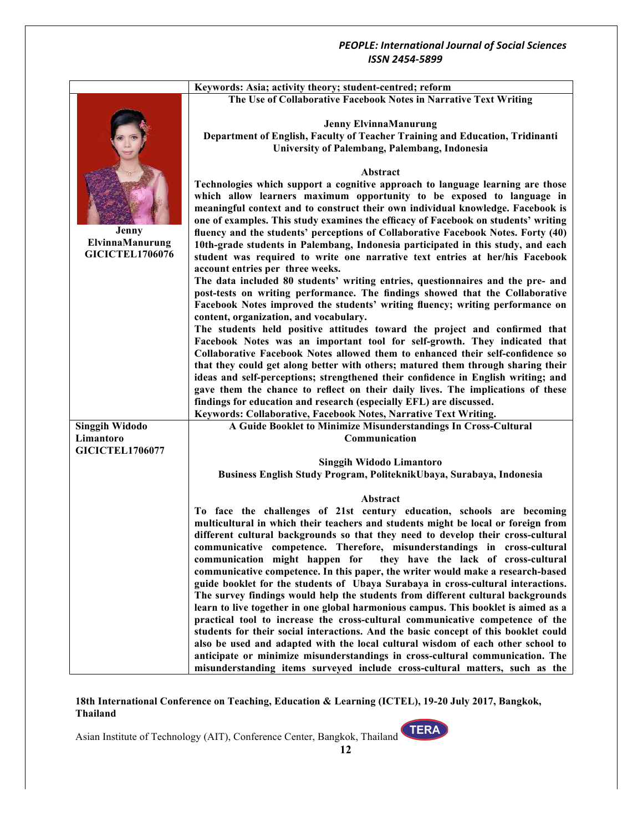|                                                    | Keywords: Asia; activity theory; student-centred; reform                                                                                                                                                                                                                                                                                                                                                                                                                                                                                                                                                                                                                                                                                                                                                                                                                                                                                                                                                                                                                                                                                                                                  |
|----------------------------------------------------|-------------------------------------------------------------------------------------------------------------------------------------------------------------------------------------------------------------------------------------------------------------------------------------------------------------------------------------------------------------------------------------------------------------------------------------------------------------------------------------------------------------------------------------------------------------------------------------------------------------------------------------------------------------------------------------------------------------------------------------------------------------------------------------------------------------------------------------------------------------------------------------------------------------------------------------------------------------------------------------------------------------------------------------------------------------------------------------------------------------------------------------------------------------------------------------------|
|                                                    | The Use of Collaborative Facebook Notes in Narrative Text Writing                                                                                                                                                                                                                                                                                                                                                                                                                                                                                                                                                                                                                                                                                                                                                                                                                                                                                                                                                                                                                                                                                                                         |
| Jenny<br>ElvinnaManurung<br><b>GICICTEL1706076</b> | <b>Jenny ElvinnaManurung</b><br>Department of English, Faculty of Teacher Training and Education, Tridinanti<br>University of Palembang, Palembang, Indonesia                                                                                                                                                                                                                                                                                                                                                                                                                                                                                                                                                                                                                                                                                                                                                                                                                                                                                                                                                                                                                             |
|                                                    | Abstract<br>Technologies which support a cognitive approach to language learning are those<br>which allow learners maximum opportunity to be exposed to language in<br>meaningful context and to construct their own individual knowledge. Facebook is<br>one of examples. This study examines the efficacy of Facebook on students' writing<br>fluency and the students' perceptions of Collaborative Facebook Notes. Forty (40)<br>10th-grade students in Palembang, Indonesia participated in this study, and each<br>student was required to write one narrative text entries at her/his Facebook<br>account entries per three weeks.<br>The data included 80 students' writing entries, questionnaires and the pre- and                                                                                                                                                                                                                                                                                                                                                                                                                                                              |
|                                                    | post-tests on writing performance. The findings showed that the Collaborative<br>Facebook Notes improved the students' writing fluency; writing performance on<br>content, organization, and vocabulary.<br>The students held positive attitudes toward the project and confirmed that<br>Facebook Notes was an important tool for self-growth. They indicated that<br>Collaborative Facebook Notes allowed them to enhanced their self-confidence so<br>that they could get along better with others; matured them through sharing their<br>ideas and self-perceptions; strengthened their confidence in English writing; and<br>gave them the chance to reflect on their daily lives. The implications of these<br>findings for education and research (especially EFL) are discussed.<br>Keywords: Collaborative, Facebook Notes, Narrative Text Writing.                                                                                                                                                                                                                                                                                                                              |
| <b>Singgih Widodo</b><br>Limantoro                 | A Guide Booklet to Minimize Misunderstandings In Cross-Cultural<br>Communication                                                                                                                                                                                                                                                                                                                                                                                                                                                                                                                                                                                                                                                                                                                                                                                                                                                                                                                                                                                                                                                                                                          |
| <b>GICICTEL1706077</b>                             |                                                                                                                                                                                                                                                                                                                                                                                                                                                                                                                                                                                                                                                                                                                                                                                                                                                                                                                                                                                                                                                                                                                                                                                           |
|                                                    | <b>Singgih Widodo Limantoro</b><br>Business English Study Program, PoliteknikUbaya, Surabaya, Indonesia                                                                                                                                                                                                                                                                                                                                                                                                                                                                                                                                                                                                                                                                                                                                                                                                                                                                                                                                                                                                                                                                                   |
|                                                    | Abstract<br>To face the challenges of 21st century education, schools are becoming<br>multicultural in which their teachers and students might be local or foreign from<br>different cultural backgrounds so that they need to develop their cross-cultural<br>communicative competence. Therefore, misunderstandings in cross-cultural<br>communication might happen for they have the lack of cross-cultural<br>communicative competence. In this paper, the writer would make a research-based<br>guide booklet for the students of Ubaya Surabaya in cross-cultural interactions.<br>The survey findings would help the students from different cultural backgrounds<br>learn to live together in one global harmonious campus. This booklet is aimed as a<br>practical tool to increase the cross-cultural communicative competence of the<br>students for their social interactions. And the basic concept of this booklet could<br>also be used and adapted with the local cultural wisdom of each other school to<br>anticipate or minimize misunderstandings in cross-cultural communication. The<br>misunderstanding items surveyed include cross-cultural matters, such as the |

**18th International Conference on Teaching, Education & Learning (ICTEL), 19-20 July 2017, Bangkok, Thailand**

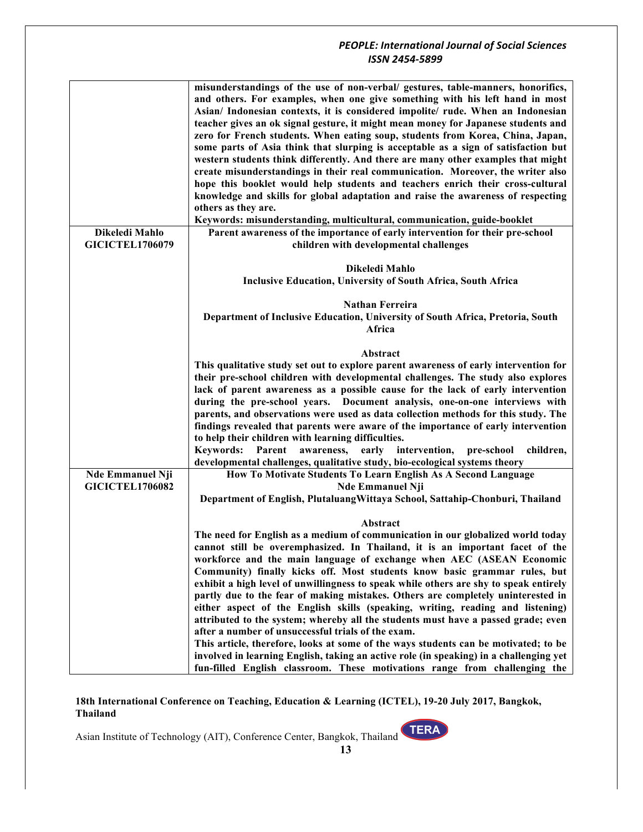|                         | misunderstandings of the use of non-verbal/ gestures, table-manners, honorifics,       |
|-------------------------|----------------------------------------------------------------------------------------|
|                         | and others. For examples, when one give something with his left hand in most           |
|                         |                                                                                        |
|                         | Asian/ Indonesian contexts, it is considered impolite/ rude. When an Indonesian        |
|                         | teacher gives an ok signal gesture, it might mean money for Japanese students and      |
|                         | zero for French students. When eating soup, students from Korea, China, Japan,         |
|                         | some parts of Asia think that slurping is acceptable as a sign of satisfaction but     |
|                         | western students think differently. And there are many other examples that might       |
|                         | create misunderstandings in their real communication. Moreover, the writer also        |
|                         | hope this booklet would help students and teachers enrich their cross-cultural         |
|                         | knowledge and skills for global adaptation and raise the awareness of respecting       |
|                         | others as they are.                                                                    |
|                         |                                                                                        |
|                         | Keywords: misunderstanding, multicultural, communication, guide-booklet                |
| Dikeledi Mahlo          | Parent awareness of the importance of early intervention for their pre-school          |
| <b>GICICTEL1706079</b>  | children with developmental challenges                                                 |
|                         |                                                                                        |
|                         | Dikeledi Mahlo                                                                         |
|                         | <b>Inclusive Education, University of South Africa, South Africa</b>                   |
|                         |                                                                                        |
|                         | <b>Nathan Ferreira</b>                                                                 |
|                         | Department of Inclusive Education, University of South Africa, Pretoria, South         |
|                         | Africa                                                                                 |
|                         |                                                                                        |
|                         | Abstract                                                                               |
|                         | This qualitative study set out to explore parent awareness of early intervention for   |
|                         | their pre-school children with developmental challenges. The study also explores       |
|                         |                                                                                        |
|                         | lack of parent awareness as a possible cause for the lack of early intervention        |
|                         | during the pre-school years. Document analysis, one-on-one interviews with             |
|                         | parents, and observations were used as data collection methods for this study. The     |
|                         | findings revealed that parents were aware of the importance of early intervention      |
|                         | to help their children with learning difficulties.                                     |
|                         | Keywords: Parent awareness, early intervention, pre-school<br>children,                |
|                         | developmental challenges, qualitative study, bio-ecological systems theory             |
| <b>Nde Emmanuel Nji</b> | How To Motivate Students To Learn English As A Second Language                         |
| <b>GICICTEL1706082</b>  | <b>Nde Emmanuel Nji</b>                                                                |
|                         | Department of English, PlutaluangWittaya School, Sattahip-Chonburi, Thailand           |
|                         |                                                                                        |
|                         | Abstract                                                                               |
|                         | The need for English as a medium of communication in our globalized world today        |
|                         | cannot still be overemphasized. In Thailand, it is an important facet of the           |
|                         | workforce and the main language of exchange when AEC (ASEAN Economic                   |
|                         | Community) finally kicks off. Most students know basic grammar rules, but              |
|                         | exhibit a high level of unwillingness to speak while others are shy to speak entirely  |
|                         | partly due to the fear of making mistakes. Others are completely uninterested in       |
|                         | either aspect of the English skills (speaking, writing, reading and listening)         |
|                         | attributed to the system; whereby all the students must have a passed grade; even      |
|                         | after a number of unsuccessful trials of the exam.                                     |
|                         |                                                                                        |
|                         | This article, therefore, looks at some of the ways students can be motivated; to be    |
|                         | involved in learning English, taking an active role (in speaking) in a challenging yet |
|                         | fun-filled English classroom. These motivations range from challenging the             |

**18th International Conference on Teaching, Education & Learning (ICTEL), 19-20 July 2017, Bangkok, Thailand**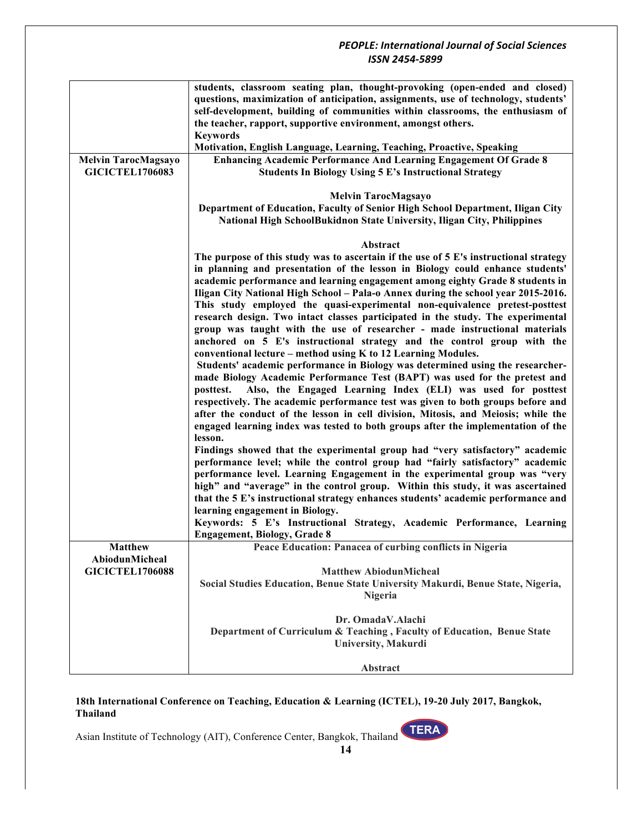|                            | students, classroom seating plan, thought-provoking (open-ended and closed)           |
|----------------------------|---------------------------------------------------------------------------------------|
|                            | questions, maximization of anticipation, assignments, use of technology, students'    |
|                            | self-development, building of communities within classrooms, the enthusiasm of        |
|                            | the teacher, rapport, supportive environment, amongst others.                         |
|                            | <b>Keywords</b>                                                                       |
|                            | Motivation, English Language, Learning, Teaching, Proactive, Speaking                 |
| <b>Melvin TarocMagsayo</b> | <b>Enhancing Academic Performance And Learning Engagement Of Grade 8</b>              |
| <b>GICICTEL1706083</b>     | <b>Students In Biology Using 5 E's Instructional Strategy</b>                         |
|                            |                                                                                       |
|                            | <b>Melvin TarocMagsayo</b>                                                            |
|                            | Department of Education, Faculty of Senior High School Department, Iligan City        |
|                            | National High SchoolBukidnon State University, Iligan City, Philippines               |
|                            |                                                                                       |
|                            | Abstract                                                                              |
|                            | The purpose of this study was to ascertain if the use of 5 E's instructional strategy |
|                            | in planning and presentation of the lesson in Biology could enhance students'         |
|                            | academic performance and learning engagement among eighty Grade 8 students in         |
|                            | Iligan City National High School - Pala-o Annex during the school year 2015-2016.     |
|                            | This study employed the quasi-experimental non-equivalence pretest-posttest           |
|                            | research design. Two intact classes participated in the study. The experimental       |
|                            | group was taught with the use of researcher - made instructional materials            |
|                            | anchored on 5 E's instructional strategy and the control group with the               |
|                            | conventional lecture – method using K to 12 Learning Modules.                         |
|                            | Students' academic performance in Biology was determined using the researcher-        |
|                            | made Biology Academic Performance Test (BAPT) was used for the pretest and            |
|                            | Also, the Engaged Learning Index (ELI) was used for posttest<br>posttest.             |
|                            | respectively. The academic performance test was given to both groups before and       |
|                            | after the conduct of the lesson in cell division, Mitosis, and Meiosis; while the     |
|                            | engaged learning index was tested to both groups after the implementation of the      |
|                            | lesson.                                                                               |
|                            | Findings showed that the experimental group had "very satisfactory" academic          |
|                            | performance level; while the control group had "fairly satisfactory" academic         |
|                            | performance level. Learning Engagement in the experimental group was "very            |
|                            | high" and "average" in the control group. Within this study, it was ascertained       |
|                            | that the 5 E's instructional strategy enhances students' academic performance and     |
|                            | learning engagement in Biology.                                                       |
|                            | Keywords: 5 E's Instructional Strategy, Academic Performance, Learning                |
|                            | <b>Engagement, Biology, Grade 8</b>                                                   |
| <b>Matthew</b>             | Peace Education: Panacea of curbing conflicts in Nigeria                              |
| <b>AbiodunMicheal</b>      |                                                                                       |
| <b>GICICTEL1706088</b>     | <b>Matthew AbiodunMicheal</b>                                                         |
|                            | Social Studies Education, Benue State University Makurdi, Benue State, Nigeria,       |
|                            | Nigeria                                                                               |
|                            |                                                                                       |
|                            | Dr. OmadaV.Alachi                                                                     |
|                            | Department of Curriculum & Teaching, Faculty of Education, Benue State                |
|                            | <b>University, Makurdi</b>                                                            |
|                            |                                                                                       |
|                            | Abstract                                                                              |

**18th International Conference on Teaching, Education & Learning (ICTEL), 19-20 July 2017, Bangkok, Thailand**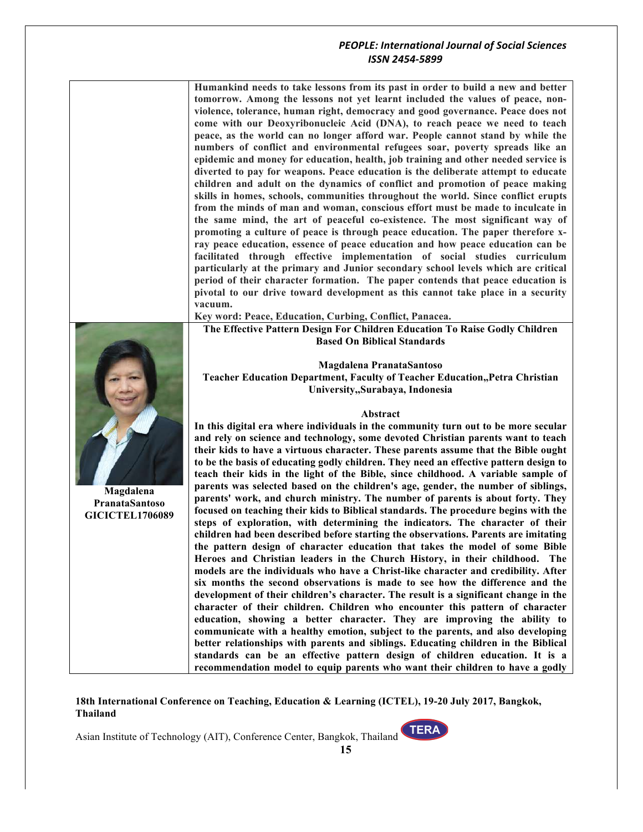**Humankind needs to take lessons from its past in order to build a new and better tomorrow. Among the lessons not yet learnt included the values of peace, nonviolence, tolerance, human right, democracy and good governance. Peace does not come with our Deoxyribonucleic Acid (DNA), to reach peace we need to teach peace, as the world can no longer afford war. People cannot stand by while the numbers of conflict and environmental refugees soar, poverty spreads like an epidemic and money for education, health, job training and other needed service is diverted to pay for weapons. Peace education is the deliberate attempt to educate children and adult on the dynamics of conflict and promotion of peace making skills in homes, schools, communities throughout the world. Since conflict erupts from the minds of man and woman, conscious effort must be made to inculcate in the same mind, the art of peaceful co-existence. The most significant way of promoting a culture of peace is through peace education. The paper therefore xray peace education, essence of peace education and how peace education can be facilitated through effective implementation of social studies curriculum particularly at the primary and Junior secondary school levels which are critical period of their character formation. The paper contends that peace education is pivotal to our drive toward development as this cannot take place in a security vacuum. Key word: Peace, Education, Curbing, Conflict, Panacea. The Effective Pattern Design For Children Education To Raise Godly Children Based On Biblical Standards**



**Magdalena PranataSantoso GICICTEL1706089**

**Magdalena PranataSantoso Teacher Education Department, Faculty of Teacher Education,,Petra Christian University,,Surabaya, Indonesia**

#### **Abstract**

**In this digital era where individuals in the community turn out to be more secular and rely on science and technology, some devoted Christian parents want to teach their kids to have a virtuous character. These parents assume that the Bible ought to be the basis of educating godly children. They need an effective pattern design to teach their kids in the light of the Bible, since childhood. A variable sample of parents was selected based on the children's age, gender, the number of siblings, parents' work, and church ministry. The number of parents is about forty. They focused on teaching their kids to Biblical standards. The procedure begins with the steps of exploration, with determining the indicators. The character of their children had been described before starting the observations. Parents are imitating the pattern design of character education that takes the model of some Bible Heroes and Christian leaders in the Church History, in their childhood. The models are the individuals who have a Christ-like character and credibility. After six months the second observations is made to see how the difference and the development of their children's character. The result is a significant change in the character of their children. Children who encounter this pattern of character education, showing a better character. They are improving the ability to communicate with a healthy emotion, subject to the parents, and also developing better relationships with parents and siblings. Educating children in the Biblical standards can be an effective pattern design of children education. It is a recommendation model to equip parents who want their children to have a godly** 

**18th International Conference on Teaching, Education & Learning (ICTEL), 19-20 July 2017, Bangkok, Thailand**

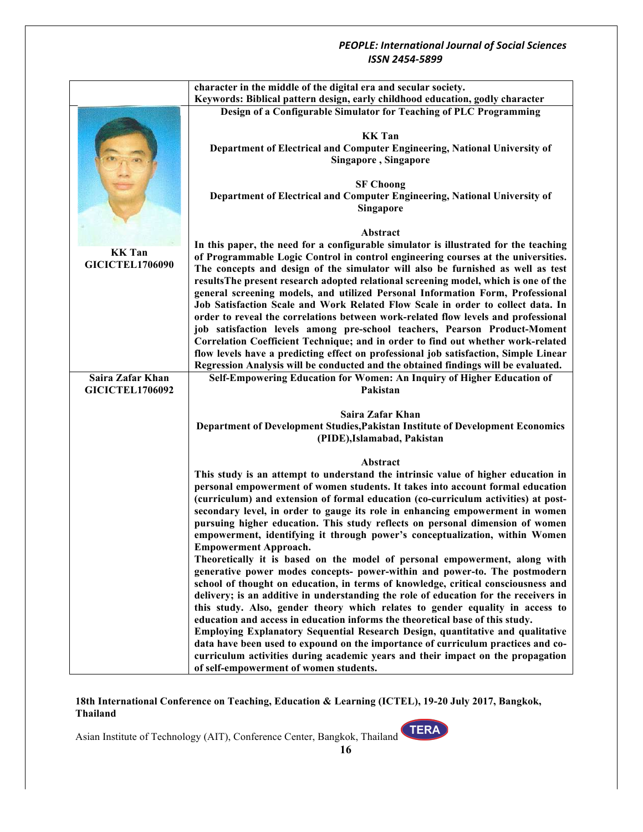|                        | character in the middle of the digital era and secular society.                                                                                                    |
|------------------------|--------------------------------------------------------------------------------------------------------------------------------------------------------------------|
|                        | Keywords: Biblical pattern design, early childhood education, godly character                                                                                      |
|                        | Design of a Configurable Simulator for Teaching of PLC Programming                                                                                                 |
|                        |                                                                                                                                                                    |
|                        | <b>KK</b> Tan                                                                                                                                                      |
|                        | Department of Electrical and Computer Engineering, National University of                                                                                          |
|                        | Singapore, Singapore                                                                                                                                               |
|                        |                                                                                                                                                                    |
|                        | <b>SF Choong</b><br>Department of Electrical and Computer Engineering, National University of                                                                      |
|                        | Singapore                                                                                                                                                          |
|                        |                                                                                                                                                                    |
|                        | Abstract                                                                                                                                                           |
|                        | In this paper, the need for a configurable simulator is illustrated for the teaching                                                                               |
| <b>KK</b> Tan          | of Programmable Logic Control in control engineering courses at the universities.                                                                                  |
| <b>GICICTEL1706090</b> | The concepts and design of the simulator will also be furnished as well as test                                                                                    |
|                        | results The present research adopted relational screening model, which is one of the                                                                               |
|                        | general screening models, and utilized Personal Information Form, Professional                                                                                     |
|                        | Job Satisfaction Scale and Work Related Flow Scale in order to collect data. In                                                                                    |
|                        | order to reveal the correlations between work-related flow levels and professional<br>job satisfaction levels among pre-school teachers, Pearson Product-Moment    |
|                        | Correlation Coefficient Technique; and in order to find out whether work-related                                                                                   |
|                        | flow levels have a predicting effect on professional job satisfaction, Simple Linear                                                                               |
|                        | Regression Analysis will be conducted and the obtained findings will be evaluated.                                                                                 |
| Saira Zafar Khan       | Self-Empowering Education for Women: An Inquiry of Higher Education of                                                                                             |
| <b>GICICTEL1706092</b> | Pakistan                                                                                                                                                           |
|                        |                                                                                                                                                                    |
|                        | Saira Zafar Khan<br>Department of Development Studies, Pakistan Institute of Development Economics                                                                 |
|                        | (PIDE), Islamabad, Pakistan                                                                                                                                        |
|                        |                                                                                                                                                                    |
|                        | Abstract                                                                                                                                                           |
|                        | This study is an attempt to understand the intrinsic value of higher education in                                                                                  |
|                        | personal empowerment of women students. It takes into account formal education                                                                                     |
|                        | (curriculum) and extension of formal education (co-curriculum activities) at post-                                                                                 |
|                        | secondary level, in order to gauge its role in enhancing empowerment in women                                                                                      |
|                        | pursuing higher education. This study reflects on personal dimension of women<br>empowerment, identifying it through power's conceptualization, within Women       |
|                        | <b>Empowerment Approach.</b>                                                                                                                                       |
|                        | Theoretically it is based on the model of personal empowerment, along with                                                                                         |
|                        | generative power modes concepts- power-within and power-to. The postmodern                                                                                         |
|                        | school of thought on education, in terms of knowledge, critical consciousness and                                                                                  |
|                        | delivery; is an additive in understanding the role of education for the receivers in                                                                               |
|                        | this study. Also, gender theory which relates to gender equality in access to                                                                                      |
|                        | education and access in education informs the theoretical base of this study.                                                                                      |
|                        | Employing Explanatory Sequential Research Design, quantitative and qualitative<br>data have been used to expound on the importance of curriculum practices and co- |
|                        | curriculum activities during academic years and their impact on the propagation                                                                                    |
|                        | of self-empowerment of women students.                                                                                                                             |

**18th International Conference on Teaching, Education & Learning (ICTEL), 19-20 July 2017, Bangkok, Thailand**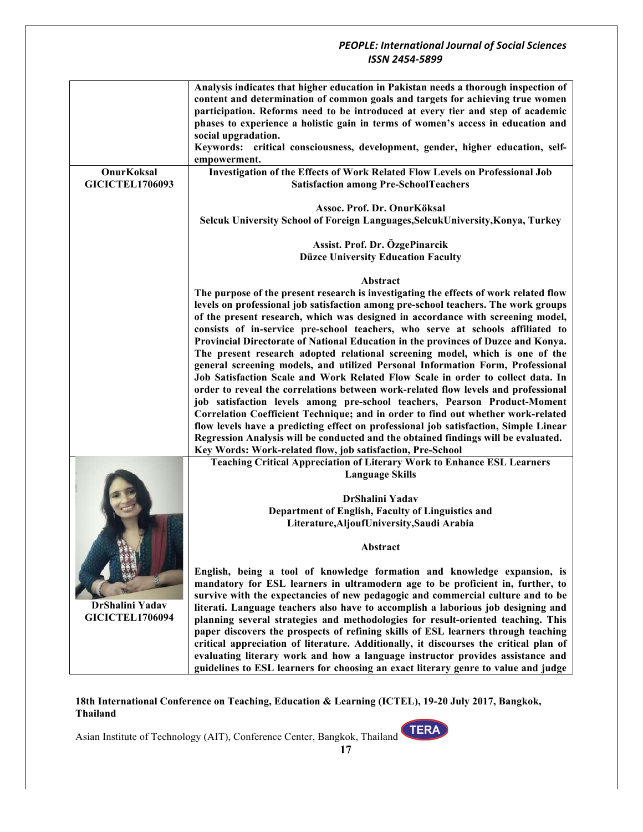|                        | Analysis indicates that higher education in Pakistan needs a thorough inspection of   |
|------------------------|---------------------------------------------------------------------------------------|
|                        | content and determination of common goals and targets for achieving true women        |
|                        | participation. Reforms need to be introduced at every tier and step of academic       |
|                        | phases to experience a holistic gain in terms of women's access in education and      |
|                        |                                                                                       |
|                        | social upgradation.                                                                   |
|                        | Keywords: critical consciousness, development, gender, higher education, self-        |
|                        | empowerment.                                                                          |
| OnurKoksal             | Investigation of the Effects of Work Related Flow Levels on Professional Job          |
| <b>GICICTEL1706093</b> | <b>Satisfaction among Pre-SchoolTeachers</b>                                          |
|                        |                                                                                       |
|                        | Assoc. Prof. Dr. OnurKöksal                                                           |
|                        | Selcuk University School of Foreign Languages, Selcuk University, Konya, Turkey       |
|                        |                                                                                       |
|                        | Assist. Prof. Dr. ÖzgePinarcik                                                        |
|                        | <b>Düzce University Education Faculty</b>                                             |
|                        |                                                                                       |
|                        | Abstract                                                                              |
|                        | The purpose of the present research is investigating the effects of work related flow |
|                        | levels on professional job satisfaction among pre-school teachers. The work groups    |
|                        | of the present research, which was designed in accordance with screening model,       |
|                        |                                                                                       |
|                        | consists of in-service pre-school teachers, who serve at schools affiliated to        |
|                        | Provincial Directorate of National Education in the provinces of Duzce and Konya.     |
|                        | The present research adopted relational screening model, which is one of the          |
|                        | general screening models, and utilized Personal Information Form, Professional        |
|                        | Job Satisfaction Scale and Work Related Flow Scale in order to collect data. In       |
|                        | order to reveal the correlations between work-related flow levels and professional    |
|                        | job satisfaction levels among pre-school teachers, Pearson Product-Moment             |
|                        | Correlation Coefficient Technique; and in order to find out whether work-related      |
|                        | flow levels have a predicting effect on professional job satisfaction, Simple Linear  |
|                        |                                                                                       |
|                        | Regression Analysis will be conducted and the obtained findings will be evaluated.    |
|                        | Key Words: Work-related flow, job satisfaction, Pre-School                            |
|                        | <b>Teaching Critical Appreciation of Literary Work to Enhance ESL Learners</b>        |
|                        | <b>Language Skills</b>                                                                |
|                        |                                                                                       |
|                        | DrShalini Yadav                                                                       |
|                        | Department of English, Faculty of Linguistics and                                     |
|                        | Literature, Aljouf University, Saudi Arabia                                           |
|                        |                                                                                       |
|                        | <b>Abstract</b>                                                                       |
|                        |                                                                                       |
|                        | English, being a tool of knowledge formation and knowledge expansion, is              |
|                        | mandatory for ESL learners in ultramodern age to be proficient in, further, to        |
|                        | survive with the expectancies of new pedagogic and commercial culture and to be       |
| DrShalini Yadav        |                                                                                       |
| <b>GICICTEL1706094</b> | literati. Language teachers also have to accomplish a laborious job designing and     |
|                        | planning several strategies and methodologies for result-oriented teaching. This      |
|                        | paper discovers the prospects of refining skills of ESL learners through teaching     |
|                        | critical appreciation of literature. Additionally, it discourses the critical plan of |
|                        | evaluating literary work and how a language instructor provides assistance and        |
|                        | guidelines to ESL learners for choosing an exact literary genre to value and judge    |

**18th International Conference on Teaching, Education & Learning (ICTEL), 19-20 July 2017, Bangkok, Thailand**

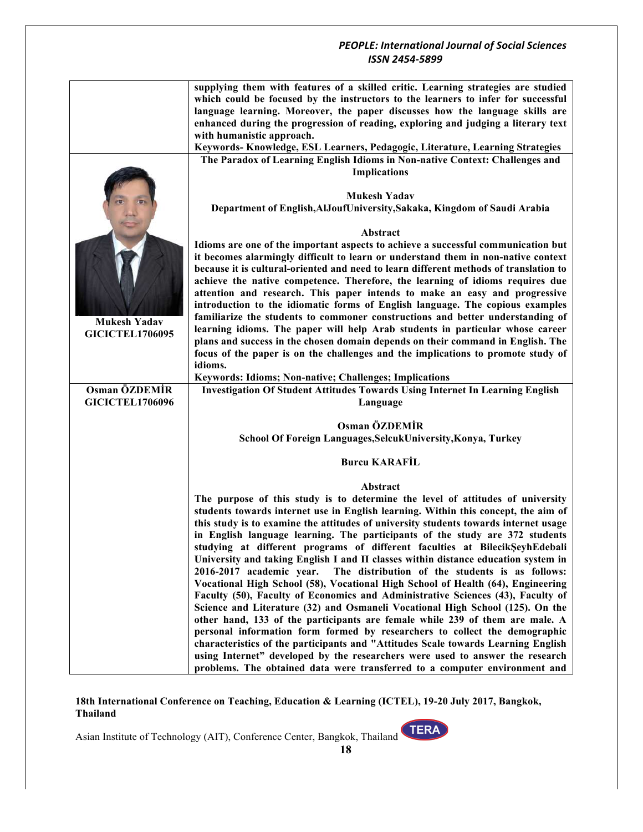|                        | supplying them with features of a skilled critic. Learning strategies are studied<br>which could be focused by the instructors to the learners to infer for successful<br>language learning. Moreover, the paper discusses how the language skills are |
|------------------------|--------------------------------------------------------------------------------------------------------------------------------------------------------------------------------------------------------------------------------------------------------|
|                        | enhanced during the progression of reading, exploring and judging a literary text                                                                                                                                                                      |
|                        | with humanistic approach.                                                                                                                                                                                                                              |
|                        | Keywords-Knowledge, ESL Learners, Pedagogic, Literature, Learning Strategies<br>The Paradox of Learning English Idioms in Non-native Context: Challenges and                                                                                           |
|                        | <b>Implications</b>                                                                                                                                                                                                                                    |
|                        | <b>Mukesh Yadav</b>                                                                                                                                                                                                                                    |
|                        | Department of English, AlJoufUniversity, Sakaka, Kingdom of Saudi Arabia                                                                                                                                                                               |
|                        | Abstract                                                                                                                                                                                                                                               |
|                        | Idioms are one of the important aspects to achieve a successful communication but                                                                                                                                                                      |
|                        | it becomes alarmingly difficult to learn or understand them in non-native context                                                                                                                                                                      |
|                        | because it is cultural-oriented and need to learn different methods of translation to                                                                                                                                                                  |
|                        | achieve the native competence. Therefore, the learning of idioms requires due                                                                                                                                                                          |
|                        | attention and research. This paper intends to make an easy and progressive                                                                                                                                                                             |
|                        | introduction to the idiomatic forms of English language. The copious examples<br>familiarize the students to commoner constructions and better understanding of                                                                                        |
| <b>Mukesh Yadav</b>    | learning idioms. The paper will help Arab students in particular whose career                                                                                                                                                                          |
| <b>GICICTEL1706095</b> | plans and success in the chosen domain depends on their command in English. The                                                                                                                                                                        |
|                        | focus of the paper is on the challenges and the implications to promote study of                                                                                                                                                                       |
|                        | idioms.                                                                                                                                                                                                                                                |
|                        | Keywords: Idioms; Non-native; Challenges; Implications                                                                                                                                                                                                 |
| Osman ÖZDEMİR          | <b>Investigation Of Student Attitudes Towards Using Internet In Learning English</b>                                                                                                                                                                   |
| <b>GICICTEL1706096</b> | Language                                                                                                                                                                                                                                               |
|                        | Osman ÖZDEMİR                                                                                                                                                                                                                                          |
|                        | School Of Foreign Languages, SelcukUniversity, Konya, Turkey                                                                                                                                                                                           |
|                        |                                                                                                                                                                                                                                                        |
|                        | <b>Burcu KARAFİL</b>                                                                                                                                                                                                                                   |
|                        | Abstract                                                                                                                                                                                                                                               |
|                        | The purpose of this study is to determine the level of attitudes of university                                                                                                                                                                         |
|                        | students towards internet use in English learning. Within this concept, the aim of                                                                                                                                                                     |
|                        | this study is to examine the attitudes of university students towards internet usage                                                                                                                                                                   |
|                        | in English language learning. The participants of the study are 372 students<br>studying at different programs of different faculties at BilecikŞeyhEdebali                                                                                            |
|                        | University and taking English I and II classes within distance education system in                                                                                                                                                                     |
|                        | 2016-2017 academic year.<br>The distribution of the students is as follows:                                                                                                                                                                            |
|                        | Vocational High School (58), Vocational High School of Health (64), Engineering                                                                                                                                                                        |
|                        | Faculty (50), Faculty of Economics and Administrative Sciences (43), Faculty of                                                                                                                                                                        |
|                        | Science and Literature (32) and Osmaneli Vocational High School (125). On the                                                                                                                                                                          |
|                        | other hand, 133 of the participants are female while 239 of them are male. A                                                                                                                                                                           |
|                        | personal information form formed by researchers to collect the demographic                                                                                                                                                                             |
|                        | characteristics of the participants and "Attitudes Scale towards Learning English<br>using Internet" developed by the researchers were used to answer the research                                                                                     |
|                        | problems. The obtained data were transferred to a computer environment and                                                                                                                                                                             |
|                        |                                                                                                                                                                                                                                                        |

**18th International Conference on Teaching, Education & Learning (ICTEL), 19-20 July 2017, Bangkok, Thailand**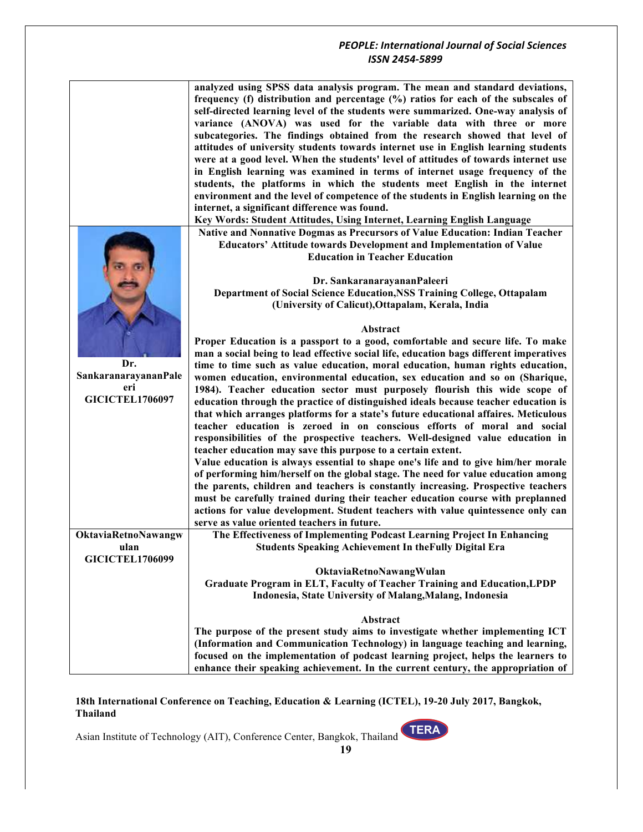|                                                              | analyzed using SPSS data analysis program. The mean and standard deviations,<br>frequency (f) distribution and percentage (%) ratios for each of the subscales of<br>self-directed learning level of the students were summarized. One-way analysis of<br>variance (ANOVA) was used for the variable data with three or more<br>subcategories. The findings obtained from the research showed that level of<br>attitudes of university students towards internet use in English learning students<br>were at a good level. When the students' level of attitudes of towards internet use<br>in English learning was examined in terms of internet usage frequency of the<br>students, the platforms in which the students meet English in the internet<br>environment and the level of competence of the students in English learning on the<br>internet, a significant difference was found.<br>Key Words: Student Attitudes, Using Internet, Learning English Language                                                                                                                                                                                                                                                                                                                                                              |
|--------------------------------------------------------------|---------------------------------------------------------------------------------------------------------------------------------------------------------------------------------------------------------------------------------------------------------------------------------------------------------------------------------------------------------------------------------------------------------------------------------------------------------------------------------------------------------------------------------------------------------------------------------------------------------------------------------------------------------------------------------------------------------------------------------------------------------------------------------------------------------------------------------------------------------------------------------------------------------------------------------------------------------------------------------------------------------------------------------------------------------------------------------------------------------------------------------------------------------------------------------------------------------------------------------------------------------------------------------------------------------------------------------------|
|                                                              | Native and Nonnative Dogmas as Precursors of Value Education: Indian Teacher<br><b>Educators' Attitude towards Development and Implementation of Value</b><br><b>Education in Teacher Education</b><br>Dr. SankaranarayananPaleeri<br>Department of Social Science Education, NSS Training College, Ottapalam<br>(University of Calicut), Ottapalam, Kerala, India                                                                                                                                                                                                                                                                                                                                                                                                                                                                                                                                                                                                                                                                                                                                                                                                                                                                                                                                                                    |
| Dr.<br>SankaranarayananPale<br>eri<br><b>GICICTEL1706097</b> | Abstract<br>Proper Education is a passport to a good, comfortable and secure life. To make<br>man a social being to lead effective social life, education bags different imperatives<br>time to time such as value education, moral education, human rights education,<br>women education, environmental education, sex education and so on (Sharique,<br>1984). Teacher education sector must purposely flourish this wide scope of<br>education through the practice of distinguished ideals because teacher education is<br>that which arranges platforms for a state's future educational affaires. Meticulous<br>teacher education is zeroed in on conscious efforts of moral and social<br>responsibilities of the prospective teachers. Well-designed value education in<br>teacher education may save this purpose to a certain extent.<br>Value education is always essential to shape one's life and to give him/her morale<br>of performing him/herself on the global stage. The need for value education among<br>the parents, children and teachers is constantly increasing. Prospective teachers<br>must be carefully trained during their teacher education course with preplanned<br>actions for value development. Student teachers with value quintessence only can<br>serve as value oriented teachers in future. |
| OktaviaRetnoNawangw<br>ulan<br><b>GICICTEL1706099</b>        | The Effectiveness of Implementing Podcast Learning Project In Enhancing<br><b>Students Speaking Achievement In the Fully Digital Era</b><br>OktaviaRetnoNawangWulan<br>Graduate Program in ELT, Faculty of Teacher Training and Education, LPDP<br>Indonesia, State University of Malang, Malang, Indonesia                                                                                                                                                                                                                                                                                                                                                                                                                                                                                                                                                                                                                                                                                                                                                                                                                                                                                                                                                                                                                           |
|                                                              | Abstract<br>The purpose of the present study aims to investigate whether implementing ICT<br>(Information and Communication Technology) in language teaching and learning,<br>focused on the implementation of podcast learning project, helps the learners to<br>enhance their speaking achievement. In the current century, the appropriation of                                                                                                                                                                                                                                                                                                                                                                                                                                                                                                                                                                                                                                                                                                                                                                                                                                                                                                                                                                                    |

**18th International Conference on Teaching, Education & Learning (ICTEL), 19-20 July 2017, Bangkok, Thailand**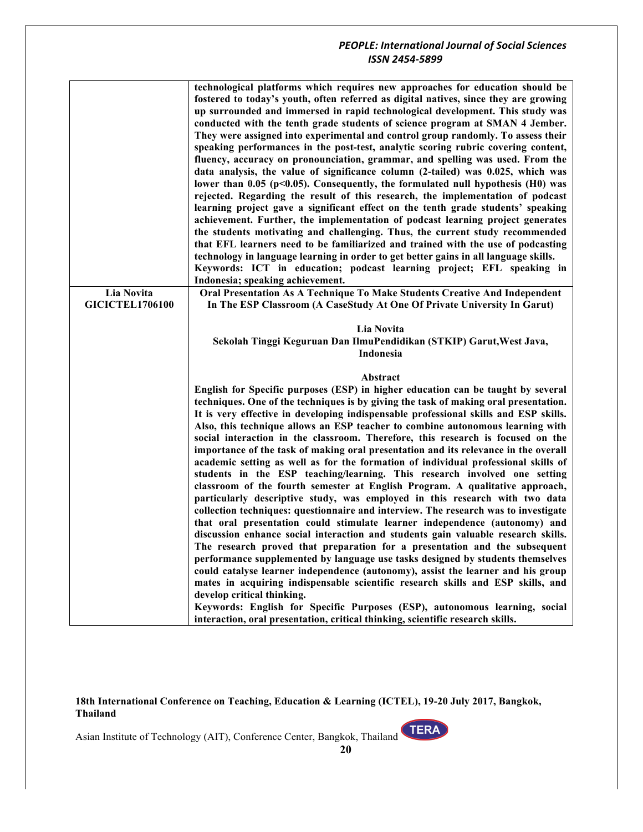| Lia Novita<br><b>GICICTEL1706100</b> | technological platforms which requires new approaches for education should be<br>fostered to today's youth, often referred as digital natives, since they are growing<br>up surrounded and immersed in rapid technological development. This study was<br>conducted with the tenth grade students of science program at SMAN 4 Jember.<br>They were assigned into experimental and control group randomly. To assess their<br>speaking performances in the post-test, analytic scoring rubric covering content,<br>fluency, accuracy on pronounciation, grammar, and spelling was used. From the<br>data analysis, the value of significance column (2-tailed) was 0.025, which was<br>lower than 0.05 ( $p<0.05$ ). Consequently, the formulated null hypothesis (H0) was<br>rejected. Regarding the result of this research, the implementation of podcast<br>learning project gave a significant effect on the tenth grade students' speaking<br>achievement. Further, the implementation of podcast learning project generates<br>the students motivating and challenging. Thus, the current study recommended<br>that EFL learners need to be familiarized and trained with the use of podcasting<br>technology in language learning in order to get better gains in all language skills.<br>Keywords: ICT in education; podcast learning project; EFL speaking in<br>Indonesia; speaking achievement.<br>Oral Presentation As A Technique To Make Students Creative And Independent<br>In The ESP Classroom (A CaseStudy At One Of Private University In Garut)                                                                                         |
|--------------------------------------|---------------------------------------------------------------------------------------------------------------------------------------------------------------------------------------------------------------------------------------------------------------------------------------------------------------------------------------------------------------------------------------------------------------------------------------------------------------------------------------------------------------------------------------------------------------------------------------------------------------------------------------------------------------------------------------------------------------------------------------------------------------------------------------------------------------------------------------------------------------------------------------------------------------------------------------------------------------------------------------------------------------------------------------------------------------------------------------------------------------------------------------------------------------------------------------------------------------------------------------------------------------------------------------------------------------------------------------------------------------------------------------------------------------------------------------------------------------------------------------------------------------------------------------------------------------------------------------------------------------------------------------------------------------|
|                                      | Lia Novita                                                                                                                                                                                                                                                                                                                                                                                                                                                                                                                                                                                                                                                                                                                                                                                                                                                                                                                                                                                                                                                                                                                                                                                                                                                                                                                                                                                                                                                                                                                                                                                                                                                    |
|                                      | Sekolah Tinggi Keguruan Dan IlmuPendidikan (STKIP) Garut, West Java,                                                                                                                                                                                                                                                                                                                                                                                                                                                                                                                                                                                                                                                                                                                                                                                                                                                                                                                                                                                                                                                                                                                                                                                                                                                                                                                                                                                                                                                                                                                                                                                          |
|                                      | Indonesia                                                                                                                                                                                                                                                                                                                                                                                                                                                                                                                                                                                                                                                                                                                                                                                                                                                                                                                                                                                                                                                                                                                                                                                                                                                                                                                                                                                                                                                                                                                                                                                                                                                     |
|                                      | Abstract                                                                                                                                                                                                                                                                                                                                                                                                                                                                                                                                                                                                                                                                                                                                                                                                                                                                                                                                                                                                                                                                                                                                                                                                                                                                                                                                                                                                                                                                                                                                                                                                                                                      |
|                                      | English for Specific purposes (ESP) in higher education can be taught by several<br>techniques. One of the techniques is by giving the task of making oral presentation.<br>It is very effective in developing indispensable professional skills and ESP skills.<br>Also, this technique allows an ESP teacher to combine autonomous learning with<br>social interaction in the classroom. Therefore, this research is focused on the<br>importance of the task of making oral presentation and its relevance in the overall<br>academic setting as well as for the formation of individual professional skills of<br>students in the ESP teaching/learning. This research involved one setting<br>classroom of the fourth semester at English Program. A qualitative approach,<br>particularly descriptive study, was employed in this research with two data<br>collection techniques: questionnaire and interview. The research was to investigate<br>that oral presentation could stimulate learner independence (autonomy) and<br>discussion enhance social interaction and students gain valuable research skills.<br>The research proved that preparation for a presentation and the subsequent<br>performance supplemented by language use tasks designed by students themselves<br>could catalyse learner independence (autonomy), assist the learner and his group<br>mates in acquiring indispensable scientific research skills and ESP skills, and<br>develop critical thinking.<br>Keywords: English for Specific Purposes (ESP), autonomous learning, social<br>interaction, oral presentation, critical thinking, scientific research skills. |

**18th International Conference on Teaching, Education & Learning (ICTEL), 19-20 July 2017, Bangkok, Thailand**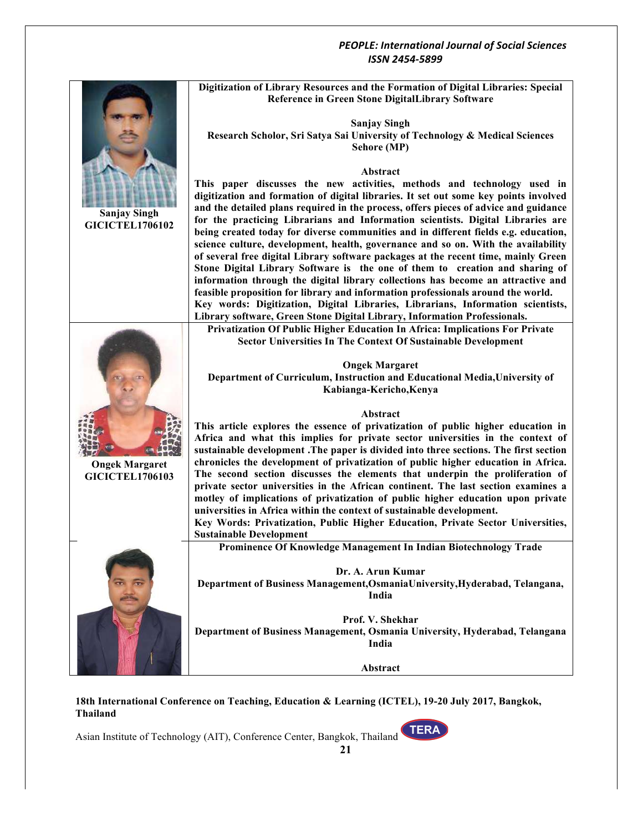

**18th International Conference on Teaching, Education & Learning (ICTEL), 19-20 July 2017, Bangkok, Thailand**

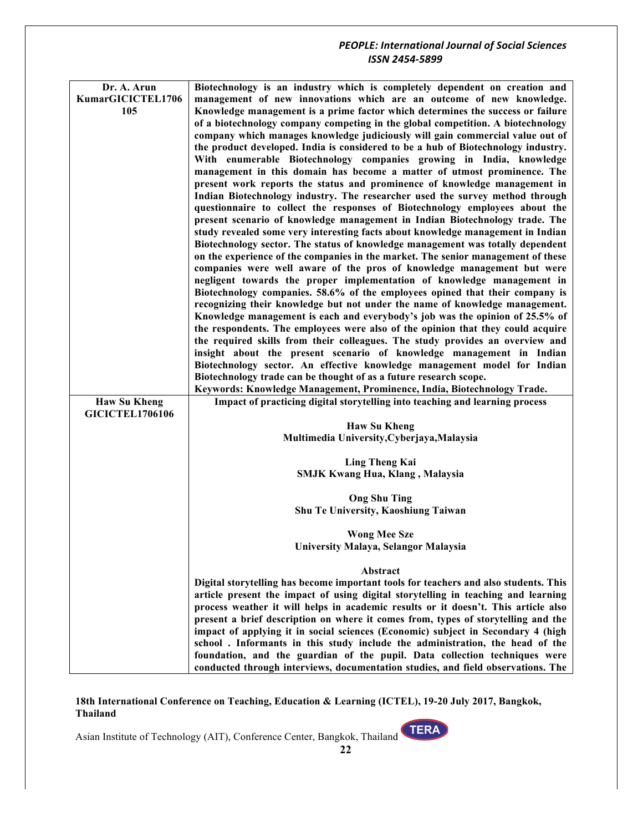| Dr. A. Arun            | Biotechnology is an industry which is completely dependent on creation and                                                                                              |
|------------------------|-------------------------------------------------------------------------------------------------------------------------------------------------------------------------|
| KumarGICICTEL1706      | management of new innovations which are an outcome of new knowledge.                                                                                                    |
| 105                    | Knowledge management is a prime factor which determines the success or failure                                                                                          |
|                        | of a biotechnology company competing in the global competition. A biotechnology                                                                                         |
|                        | company which manages knowledge judiciously will gain commercial value out of                                                                                           |
|                        | the product developed. India is considered to be a hub of Biotechnology industry.                                                                                       |
|                        | With enumerable Biotechnology companies growing in India, knowledge                                                                                                     |
|                        | management in this domain has become a matter of utmost prominence. The                                                                                                 |
|                        | present work reports the status and prominence of knowledge management in                                                                                               |
|                        | Indian Biotechnology industry. The researcher used the survey method through                                                                                            |
|                        | questionnaire to collect the responses of Biotechnology employees about the                                                                                             |
|                        | present scenario of knowledge management in Indian Biotechnology trade. The                                                                                             |
|                        | study revealed some very interesting facts about knowledge management in Indian                                                                                         |
|                        | Biotechnology sector. The status of knowledge management was totally dependent                                                                                          |
|                        | on the experience of the companies in the market. The senior management of these                                                                                        |
|                        | companies were well aware of the pros of knowledge management but were                                                                                                  |
|                        | negligent towards the proper implementation of knowledge management in                                                                                                  |
|                        | Biotechnology companies. 58.6% of the employees opined that their company is                                                                                            |
|                        | recognizing their knowledge but not under the name of knowledge management.                                                                                             |
|                        | Knowledge management is each and everybody's job was the opinion of 25.5% of                                                                                            |
|                        | the respondents. The employees were also of the opinion that they could acquire                                                                                         |
|                        | the required skills from their colleagues. The study provides an overview and                                                                                           |
|                        | insight about the present scenario of knowledge management in Indian<br>Biotechnology sector. An effective knowledge management model for Indian                        |
|                        | Biotechnology trade can be thought of as a future research scope.                                                                                                       |
|                        | Keywords: Knowledge Management, Prominence, India, Biotechnology Trade.                                                                                                 |
| <b>Haw Su Kheng</b>    | Impact of practicing digital storytelling into teaching and learning process                                                                                            |
| <b>GICICTEL1706106</b> |                                                                                                                                                                         |
|                        | <b>Haw Su Kheng</b>                                                                                                                                                     |
|                        | Multimedia University, Cyberjaya, Malaysia                                                                                                                              |
|                        |                                                                                                                                                                         |
|                        | <b>Ling Theng Kai</b>                                                                                                                                                   |
|                        | <b>SMJK Kwang Hua, Klang, Malaysia</b>                                                                                                                                  |
|                        | <b>Ong Shu Ting</b>                                                                                                                                                     |
|                        | Shu Te University, Kaoshiung Taiwan                                                                                                                                     |
|                        |                                                                                                                                                                         |
|                        | <b>Wong Mee Sze</b>                                                                                                                                                     |
|                        | University Malaya, Selangor Malaysia                                                                                                                                    |
|                        |                                                                                                                                                                         |
|                        | Abstract                                                                                                                                                                |
|                        | Digital storytelling has become important tools for teachers and also students. This                                                                                    |
|                        | article present the impact of using digital storytelling in teaching and learning<br>process weather it will helps in academic results or it doesn't. This article also |
|                        | present a brief description on where it comes from, types of storytelling and the                                                                                       |
|                        | impact of applying it in social sciences (Economic) subject in Secondary 4 (high                                                                                        |
|                        | school. Informants in this study include the administration, the head of the                                                                                            |
|                        | foundation, and the guardian of the pupil. Data collection techniques were                                                                                              |
|                        | conducted through interviews, documentation studies, and field observations. The                                                                                        |
|                        |                                                                                                                                                                         |

**18th International Conference on Teaching, Education & Learning (ICTEL), 19-20 July 2017, Bangkok, Thailand**

**TERA**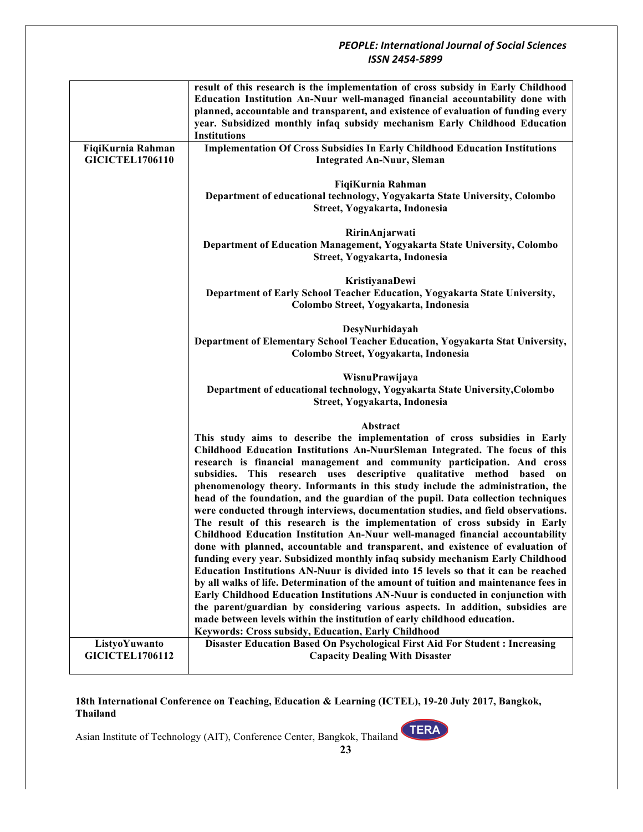|                        | result of this research is the implementation of cross subsidy in Early Childhood    |
|------------------------|--------------------------------------------------------------------------------------|
|                        | Education Institution An-Nuur well-managed financial accountability done with        |
|                        | planned, accountable and transparent, and existence of evaluation of funding every   |
|                        | year. Subsidized monthly infaq subsidy mechanism Early Childhood Education           |
|                        |                                                                                      |
|                        | <b>Institutions</b>                                                                  |
| FiqiKurnia Rahman      | <b>Implementation Of Cross Subsidies In Early Childhood Education Institutions</b>   |
| <b>GICICTEL1706110</b> | <b>Integrated An-Nuur, Sleman</b>                                                    |
|                        |                                                                                      |
|                        | FiqiKurnia Rahman                                                                    |
|                        | Department of educational technology, Yogyakarta State University, Colombo           |
|                        | Street, Yogyakarta, Indonesia                                                        |
|                        |                                                                                      |
|                        | RirinAnjarwati                                                                       |
|                        | Department of Education Management, Yogyakarta State University, Colombo             |
|                        | Street, Yogyakarta, Indonesia                                                        |
|                        |                                                                                      |
|                        | KristiyanaDewi                                                                       |
|                        | Department of Early School Teacher Education, Yogyakarta State University,           |
|                        | Colombo Street, Yogyakarta, Indonesia                                                |
|                        |                                                                                      |
|                        | DesyNurhidayah                                                                       |
|                        | Department of Elementary School Teacher Education, Yogyakarta Stat University,       |
|                        | Colombo Street, Yogyakarta, Indonesia                                                |
|                        |                                                                                      |
|                        | WisnuPrawijaya                                                                       |
|                        | Department of educational technology, Yogyakarta State University, Colombo           |
|                        | Street, Yogyakarta, Indonesia                                                        |
|                        |                                                                                      |
|                        | Abstract                                                                             |
|                        | This study aims to describe the implementation of cross subsidies in Early           |
|                        | Childhood Education Institutions An-NuurSleman Integrated. The focus of this         |
|                        | research is financial management and community participation. And cross              |
|                        | subsidies. This research uses descriptive qualitative method based on                |
|                        |                                                                                      |
|                        | phenomenology theory. Informants in this study include the administration, the       |
|                        | head of the foundation, and the guardian of the pupil. Data collection techniques    |
|                        | were conducted through interviews, documentation studies, and field observations.    |
|                        | The result of this research is the implementation of cross subsidy in Early          |
|                        | Childhood Education Institution An-Nuur well-managed financial accountability        |
|                        | done with planned, accountable and transparent, and existence of evaluation of       |
|                        | funding every year. Subsidized monthly infaq subsidy mechanism Early Childhood       |
|                        | Education Institutions AN-Nuur is divided into 15 levels so that it can be reached   |
|                        | by all walks of life. Determination of the amount of tuition and maintenance fees in |
|                        | Early Childhood Education Institutions AN-Nuur is conducted in conjunction with      |
|                        | the parent/guardian by considering various aspects. In addition, subsidies are       |
|                        | made between levels within the institution of early childhood education.             |
|                        | Keywords: Cross subsidy, Education, Early Childhood                                  |
| ListyoYuwanto          | Disaster Education Based On Psychological First Aid For Student: Increasing          |
| <b>GICICTEL1706112</b> | <b>Capacity Dealing With Disaster</b>                                                |
|                        |                                                                                      |

#### **18th International Conference on Teaching, Education & Learning (ICTEL), 19-20 July 2017, Bangkok, Thailand**

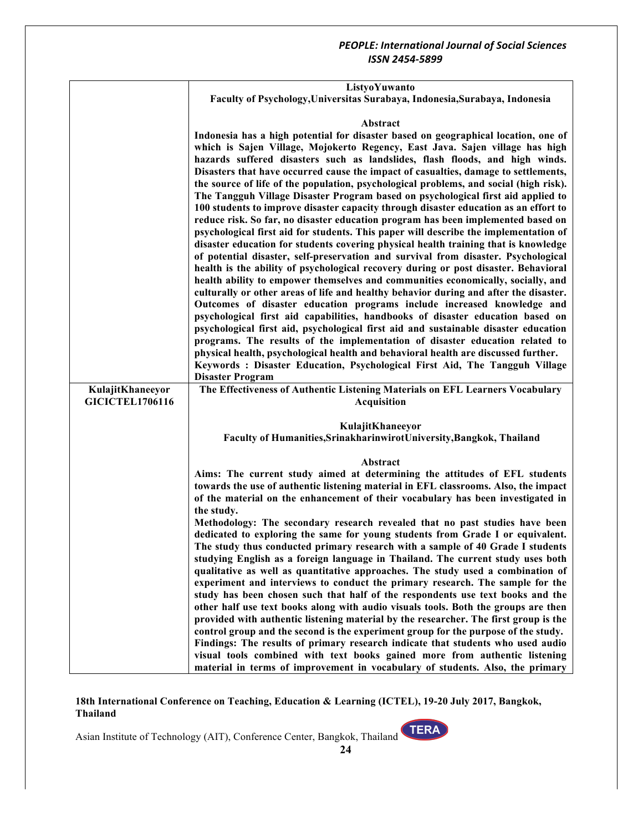|                        | ListyoYuwanto                                                                                                                                                                                                                                                                                                                                                                                                                                                                                                                                                                                                                                                                                      |
|------------------------|----------------------------------------------------------------------------------------------------------------------------------------------------------------------------------------------------------------------------------------------------------------------------------------------------------------------------------------------------------------------------------------------------------------------------------------------------------------------------------------------------------------------------------------------------------------------------------------------------------------------------------------------------------------------------------------------------|
|                        | Faculty of Psychology, Universitas Surabaya, Indonesia, Surabaya, Indonesia                                                                                                                                                                                                                                                                                                                                                                                                                                                                                                                                                                                                                        |
|                        |                                                                                                                                                                                                                                                                                                                                                                                                                                                                                                                                                                                                                                                                                                    |
|                        | Abstract                                                                                                                                                                                                                                                                                                                                                                                                                                                                                                                                                                                                                                                                                           |
|                        | Indonesia has a high potential for disaster based on geographical location, one of<br>which is Sajen Village, Mojokerto Regency, East Java. Sajen village has high<br>hazards suffered disasters such as landslides, flash floods, and high winds.<br>Disasters that have occurred cause the impact of casualties, damage to settlements,<br>the source of life of the population, psychological problems, and social (high risk).<br>The Tangguh Village Disaster Program based on psychological first aid applied to<br>100 students to improve disaster capacity through disaster education as an effort to<br>reduce risk. So far, no disaster education program has been implemented based on |
|                        | psychological first aid for students. This paper will describe the implementation of                                                                                                                                                                                                                                                                                                                                                                                                                                                                                                                                                                                                               |
|                        | disaster education for students covering physical health training that is knowledge<br>of potential disaster, self-preservation and survival from disaster. Psychological<br>health is the ability of psychological recovery during or post disaster. Behavioral                                                                                                                                                                                                                                                                                                                                                                                                                                   |
|                        | health ability to empower themselves and communities economically, socially, and<br>culturally or other areas of life and healthy behavior during and after the disaster.                                                                                                                                                                                                                                                                                                                                                                                                                                                                                                                          |
|                        | Outcomes of disaster education programs include increased knowledge and                                                                                                                                                                                                                                                                                                                                                                                                                                                                                                                                                                                                                            |
|                        | psychological first aid capabilities, handbooks of disaster education based on                                                                                                                                                                                                                                                                                                                                                                                                                                                                                                                                                                                                                     |
|                        | psychological first aid, psychological first aid and sustainable disaster education                                                                                                                                                                                                                                                                                                                                                                                                                                                                                                                                                                                                                |
|                        | programs. The results of the implementation of disaster education related to                                                                                                                                                                                                                                                                                                                                                                                                                                                                                                                                                                                                                       |
|                        | physical health, psychological health and behavioral health are discussed further.<br>Keywords: Disaster Education, Psychological First Aid, The Tangguh Village                                                                                                                                                                                                                                                                                                                                                                                                                                                                                                                                   |
|                        | <b>Disaster Program</b>                                                                                                                                                                                                                                                                                                                                                                                                                                                                                                                                                                                                                                                                            |
| KulajitKhaneeyor       | The Effectiveness of Authentic Listening Materials on EFL Learners Vocabulary                                                                                                                                                                                                                                                                                                                                                                                                                                                                                                                                                                                                                      |
| <b>GICICTEL1706116</b> | <b>Acquisition</b>                                                                                                                                                                                                                                                                                                                                                                                                                                                                                                                                                                                                                                                                                 |
|                        |                                                                                                                                                                                                                                                                                                                                                                                                                                                                                                                                                                                                                                                                                                    |
|                        | KulajitKhaneeyor                                                                                                                                                                                                                                                                                                                                                                                                                                                                                                                                                                                                                                                                                   |
|                        | Faculty of Humanities, Srinakharinwirot University, Bangkok, Thailand                                                                                                                                                                                                                                                                                                                                                                                                                                                                                                                                                                                                                              |
|                        |                                                                                                                                                                                                                                                                                                                                                                                                                                                                                                                                                                                                                                                                                                    |
|                        | Abstract<br>Aims: The current study aimed at determining the attitudes of EFL students                                                                                                                                                                                                                                                                                                                                                                                                                                                                                                                                                                                                             |
|                        | towards the use of authentic listening material in EFL classrooms. Also, the impact                                                                                                                                                                                                                                                                                                                                                                                                                                                                                                                                                                                                                |
|                        | of the material on the enhancement of their vocabulary has been investigated in                                                                                                                                                                                                                                                                                                                                                                                                                                                                                                                                                                                                                    |
|                        | the study.                                                                                                                                                                                                                                                                                                                                                                                                                                                                                                                                                                                                                                                                                         |
|                        | Methodology: The secondary research revealed that no past studies have been                                                                                                                                                                                                                                                                                                                                                                                                                                                                                                                                                                                                                        |
|                        | dedicated to exploring the same for young students from Grade I or equivalent.                                                                                                                                                                                                                                                                                                                                                                                                                                                                                                                                                                                                                     |
|                        | The study thus conducted primary research with a sample of 40 Grade I students<br>studying English as a foreign language in Thailand. The current study uses both                                                                                                                                                                                                                                                                                                                                                                                                                                                                                                                                  |
|                        | qualitative as well as quantitative approaches. The study used a combination of                                                                                                                                                                                                                                                                                                                                                                                                                                                                                                                                                                                                                    |
|                        | experiment and interviews to conduct the primary research. The sample for the                                                                                                                                                                                                                                                                                                                                                                                                                                                                                                                                                                                                                      |
|                        | study has been chosen such that half of the respondents use text books and the                                                                                                                                                                                                                                                                                                                                                                                                                                                                                                                                                                                                                     |
|                        | other half use text books along with audio visuals tools. Both the groups are then                                                                                                                                                                                                                                                                                                                                                                                                                                                                                                                                                                                                                 |
|                        | provided with authentic listening material by the researcher. The first group is the                                                                                                                                                                                                                                                                                                                                                                                                                                                                                                                                                                                                               |
|                        | control group and the second is the experiment group for the purpose of the study.                                                                                                                                                                                                                                                                                                                                                                                                                                                                                                                                                                                                                 |
|                        | Findings: The results of primary research indicate that students who used audio<br>visual tools combined with text books gained more from authentic listening                                                                                                                                                                                                                                                                                                                                                                                                                                                                                                                                      |
|                        | material in terms of improvement in vocabulary of students. Also, the primary                                                                                                                                                                                                                                                                                                                                                                                                                                                                                                                                                                                                                      |
|                        |                                                                                                                                                                                                                                                                                                                                                                                                                                                                                                                                                                                                                                                                                                    |

**18th International Conference on Teaching, Education & Learning (ICTEL), 19-20 July 2017, Bangkok, Thailand**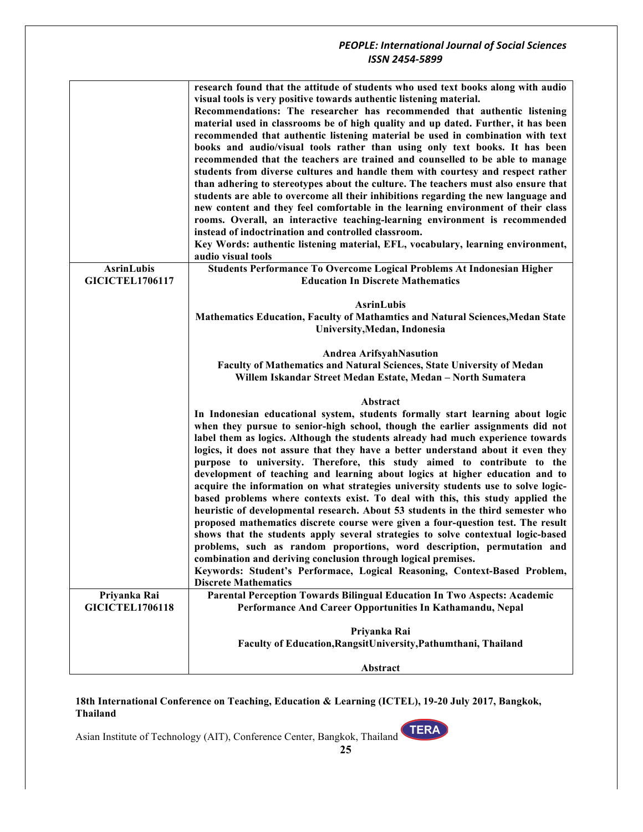|                                             | research found that the attitude of students who used text books along with audio<br>visual tools is very positive towards authentic listening material.<br>Recommendations: The researcher has recommended that authentic listening<br>material used in classrooms be of high quality and up dated. Further, it has been<br>recommended that authentic listening material be used in combination with text<br>books and audio/visual tools rather than using only text books. It has been<br>recommended that the teachers are trained and counselled to be able to manage<br>students from diverse cultures and handle them with courtesy and respect rather<br>than adhering to stereotypes about the culture. The teachers must also ensure that<br>students are able to overcome all their inhibitions regarding the new language and<br>new content and they feel comfortable in the learning environment of their class<br>rooms. Overall, an interactive teaching-learning environment is recommended<br>instead of indoctrination and controlled classroom.<br>Key Words: authentic listening material, EFL, vocabulary, learning environment,<br>audio visual tools                              |
|---------------------------------------------|------------------------------------------------------------------------------------------------------------------------------------------------------------------------------------------------------------------------------------------------------------------------------------------------------------------------------------------------------------------------------------------------------------------------------------------------------------------------------------------------------------------------------------------------------------------------------------------------------------------------------------------------------------------------------------------------------------------------------------------------------------------------------------------------------------------------------------------------------------------------------------------------------------------------------------------------------------------------------------------------------------------------------------------------------------------------------------------------------------------------------------------------------------------------------------------------------------|
| <b>AsrinLubis</b><br><b>GICICTEL1706117</b> | Students Performance To Overcome Logical Problems At Indonesian Higher<br><b>Education In Discrete Mathematics</b>                                                                                                                                                                                                                                                                                                                                                                                                                                                                                                                                                                                                                                                                                                                                                                                                                                                                                                                                                                                                                                                                                         |
|                                             | <b>AsrinLubis</b><br>Mathematics Education, Faculty of Mathamtics and Natural Sciences, Medan State<br>University, Medan, Indonesia                                                                                                                                                                                                                                                                                                                                                                                                                                                                                                                                                                                                                                                                                                                                                                                                                                                                                                                                                                                                                                                                        |
|                                             | <b>Andrea ArifsyahNasution</b><br>Faculty of Mathematics and Natural Sciences, State University of Medan<br>Willem Iskandar Street Medan Estate, Medan - North Sumatera                                                                                                                                                                                                                                                                                                                                                                                                                                                                                                                                                                                                                                                                                                                                                                                                                                                                                                                                                                                                                                    |
|                                             | Abstract<br>In Indonesian educational system, students formally start learning about logic<br>when they pursue to senior-high school, though the earlier assignments did not<br>label them as logics. Although the students already had much experience towards<br>logics, it does not assure that they have a better understand about it even they<br>purpose to university. Therefore, this study aimed to contribute to the<br>development of teaching and learning about logics at higher education and to<br>acquire the information on what strategies university students use to solve logic-<br>based problems where contexts exist. To deal with this, this study applied the<br>heuristic of developmental research. About 53 students in the third semester who<br>proposed mathematics discrete course were given a four-question test. The result<br>shows that the students apply several strategies to solve contextual logic-based<br>problems, such as random proportions, word description, permutation and<br>combination and deriving conclusion through logical premises.<br>Keywords: Student's Performace, Logical Reasoning, Context-Based Problem,<br><b>Discrete Mathematics</b> |
| Priyanka Rai<br><b>GICICTEL1706118</b>      | Parental Perception Towards Bilingual Education In Two Aspects: Academic<br>Performance And Career Opportunities In Kathamandu, Nepal                                                                                                                                                                                                                                                                                                                                                                                                                                                                                                                                                                                                                                                                                                                                                                                                                                                                                                                                                                                                                                                                      |
|                                             | Priyanka Rai<br>Faculty of Education, Rangsit University, Pathumthani, Thailand                                                                                                                                                                                                                                                                                                                                                                                                                                                                                                                                                                                                                                                                                                                                                                                                                                                                                                                                                                                                                                                                                                                            |
|                                             | Abstract                                                                                                                                                                                                                                                                                                                                                                                                                                                                                                                                                                                                                                                                                                                                                                                                                                                                                                                                                                                                                                                                                                                                                                                                   |

**18th International Conference on Teaching, Education & Learning (ICTEL), 19-20 July 2017, Bangkok, Thailand**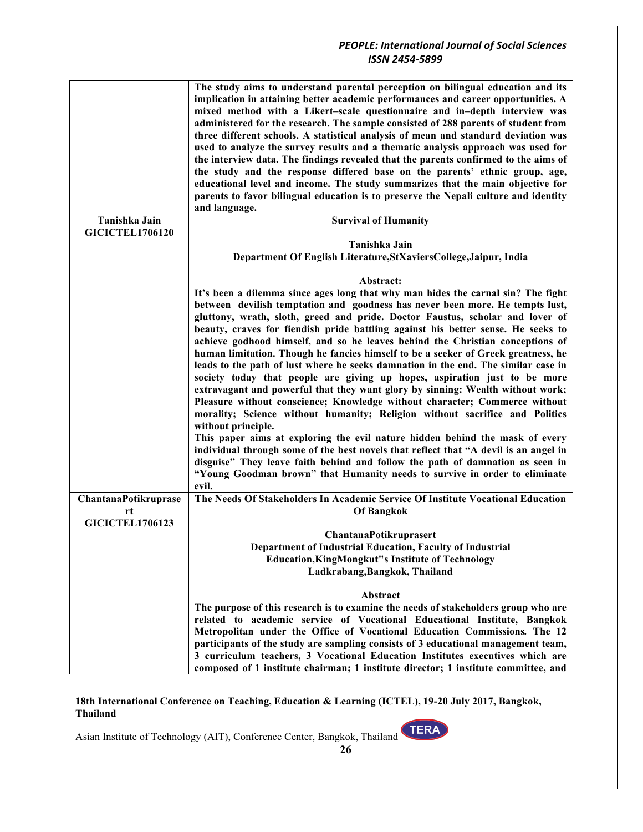|                        | The study aims to understand parental perception on bilingual education and its<br>implication in attaining better academic performances and career opportunities. A<br>mixed method with a Likert-scale questionnaire and in-depth interview was<br>administered for the research. The sample consisted of 288 parents of student from<br>three different schools. A statistical analysis of mean and standard deviation was<br>used to analyze the survey results and a thematic analysis approach was used for<br>the interview data. The findings revealed that the parents confirmed to the aims of<br>the study and the response differed base on the parents' ethnic group, age,<br>educational level and income. The study summarizes that the main objective for<br>parents to favor bilingual education is to preserve the Nepali culture and identity<br>and language. |
|------------------------|-----------------------------------------------------------------------------------------------------------------------------------------------------------------------------------------------------------------------------------------------------------------------------------------------------------------------------------------------------------------------------------------------------------------------------------------------------------------------------------------------------------------------------------------------------------------------------------------------------------------------------------------------------------------------------------------------------------------------------------------------------------------------------------------------------------------------------------------------------------------------------------|
| Tanishka Jain          | <b>Survival of Humanity</b>                                                                                                                                                                                                                                                                                                                                                                                                                                                                                                                                                                                                                                                                                                                                                                                                                                                       |
| <b>GICICTEL1706120</b> |                                                                                                                                                                                                                                                                                                                                                                                                                                                                                                                                                                                                                                                                                                                                                                                                                                                                                   |
|                        | Tanishka Jain                                                                                                                                                                                                                                                                                                                                                                                                                                                                                                                                                                                                                                                                                                                                                                                                                                                                     |
|                        | Department Of English Literature, StXaviers College, Jaipur, India                                                                                                                                                                                                                                                                                                                                                                                                                                                                                                                                                                                                                                                                                                                                                                                                                |
|                        |                                                                                                                                                                                                                                                                                                                                                                                                                                                                                                                                                                                                                                                                                                                                                                                                                                                                                   |
|                        | Abstract:                                                                                                                                                                                                                                                                                                                                                                                                                                                                                                                                                                                                                                                                                                                                                                                                                                                                         |
|                        | It's been a dilemma since ages long that why man hides the carnal sin? The fight                                                                                                                                                                                                                                                                                                                                                                                                                                                                                                                                                                                                                                                                                                                                                                                                  |
|                        | between devilish temptation and goodness has never been more. He tempts lust,                                                                                                                                                                                                                                                                                                                                                                                                                                                                                                                                                                                                                                                                                                                                                                                                     |
|                        |                                                                                                                                                                                                                                                                                                                                                                                                                                                                                                                                                                                                                                                                                                                                                                                                                                                                                   |
|                        | gluttony, wrath, sloth, greed and pride. Doctor Faustus, scholar and lover of                                                                                                                                                                                                                                                                                                                                                                                                                                                                                                                                                                                                                                                                                                                                                                                                     |
|                        | beauty, craves for fiendish pride battling against his better sense. He seeks to                                                                                                                                                                                                                                                                                                                                                                                                                                                                                                                                                                                                                                                                                                                                                                                                  |
|                        | achieve godhood himself, and so he leaves behind the Christian conceptions of                                                                                                                                                                                                                                                                                                                                                                                                                                                                                                                                                                                                                                                                                                                                                                                                     |
|                        | human limitation. Though he fancies himself to be a seeker of Greek greatness, he                                                                                                                                                                                                                                                                                                                                                                                                                                                                                                                                                                                                                                                                                                                                                                                                 |
|                        | leads to the path of lust where he seeks damnation in the end. The similar case in                                                                                                                                                                                                                                                                                                                                                                                                                                                                                                                                                                                                                                                                                                                                                                                                |
|                        | society today that people are giving up hopes, aspiration just to be more                                                                                                                                                                                                                                                                                                                                                                                                                                                                                                                                                                                                                                                                                                                                                                                                         |
|                        | extravagant and powerful that they want glory by sinning: Wealth without work;                                                                                                                                                                                                                                                                                                                                                                                                                                                                                                                                                                                                                                                                                                                                                                                                    |
|                        | Pleasure without conscience; Knowledge without character; Commerce without                                                                                                                                                                                                                                                                                                                                                                                                                                                                                                                                                                                                                                                                                                                                                                                                        |
|                        | morality; Science without humanity; Religion without sacrifice and Politics                                                                                                                                                                                                                                                                                                                                                                                                                                                                                                                                                                                                                                                                                                                                                                                                       |
|                        | without principle.                                                                                                                                                                                                                                                                                                                                                                                                                                                                                                                                                                                                                                                                                                                                                                                                                                                                |
|                        |                                                                                                                                                                                                                                                                                                                                                                                                                                                                                                                                                                                                                                                                                                                                                                                                                                                                                   |
|                        | This paper aims at exploring the evil nature hidden behind the mask of every                                                                                                                                                                                                                                                                                                                                                                                                                                                                                                                                                                                                                                                                                                                                                                                                      |
|                        | individual through some of the best novels that reflect that "A devil is an angel in                                                                                                                                                                                                                                                                                                                                                                                                                                                                                                                                                                                                                                                                                                                                                                                              |
|                        | disguise" They leave faith behind and follow the path of damnation as seen in                                                                                                                                                                                                                                                                                                                                                                                                                                                                                                                                                                                                                                                                                                                                                                                                     |
|                        | "Young Goodman brown" that Humanity needs to survive in order to eliminate                                                                                                                                                                                                                                                                                                                                                                                                                                                                                                                                                                                                                                                                                                                                                                                                        |
|                        | evil.                                                                                                                                                                                                                                                                                                                                                                                                                                                                                                                                                                                                                                                                                                                                                                                                                                                                             |
| ChantanaPotikruprase   | The Needs Of Stakeholders In Academic Service Of Institute Vocational Education                                                                                                                                                                                                                                                                                                                                                                                                                                                                                                                                                                                                                                                                                                                                                                                                   |
| rt                     | <b>Of Bangkok</b>                                                                                                                                                                                                                                                                                                                                                                                                                                                                                                                                                                                                                                                                                                                                                                                                                                                                 |
| <b>GICICTEL1706123</b> |                                                                                                                                                                                                                                                                                                                                                                                                                                                                                                                                                                                                                                                                                                                                                                                                                                                                                   |
|                        |                                                                                                                                                                                                                                                                                                                                                                                                                                                                                                                                                                                                                                                                                                                                                                                                                                                                                   |
|                        | ChantanaPotikruprasert                                                                                                                                                                                                                                                                                                                                                                                                                                                                                                                                                                                                                                                                                                                                                                                                                                                            |
|                        | Department of Industrial Education, Faculty of Industrial                                                                                                                                                                                                                                                                                                                                                                                                                                                                                                                                                                                                                                                                                                                                                                                                                         |
|                        | <b>Education, KingMongkut"s Institute of Technology</b>                                                                                                                                                                                                                                                                                                                                                                                                                                                                                                                                                                                                                                                                                                                                                                                                                           |
|                        | Ladkrabang, Bangkok, Thailand                                                                                                                                                                                                                                                                                                                                                                                                                                                                                                                                                                                                                                                                                                                                                                                                                                                     |
|                        |                                                                                                                                                                                                                                                                                                                                                                                                                                                                                                                                                                                                                                                                                                                                                                                                                                                                                   |
|                        | Abstract                                                                                                                                                                                                                                                                                                                                                                                                                                                                                                                                                                                                                                                                                                                                                                                                                                                                          |
|                        | The purpose of this research is to examine the needs of stakeholders group who are                                                                                                                                                                                                                                                                                                                                                                                                                                                                                                                                                                                                                                                                                                                                                                                                |
|                        | related to academic service of Vocational Educational Institute, Bangkok                                                                                                                                                                                                                                                                                                                                                                                                                                                                                                                                                                                                                                                                                                                                                                                                          |
|                        | Metropolitan under the Office of Vocational Education Commissions. The 12                                                                                                                                                                                                                                                                                                                                                                                                                                                                                                                                                                                                                                                                                                                                                                                                         |
|                        | participants of the study are sampling consists of 3 educational management team,                                                                                                                                                                                                                                                                                                                                                                                                                                                                                                                                                                                                                                                                                                                                                                                                 |
|                        | 3 curriculum teachers, 3 Vocational Education Institutes executives which are                                                                                                                                                                                                                                                                                                                                                                                                                                                                                                                                                                                                                                                                                                                                                                                                     |
|                        | composed of 1 institute chairman; 1 institute director; 1 institute committee, and                                                                                                                                                                                                                                                                                                                                                                                                                                                                                                                                                                                                                                                                                                                                                                                                |

**18th International Conference on Teaching, Education & Learning (ICTEL), 19-20 July 2017, Bangkok, Thailand**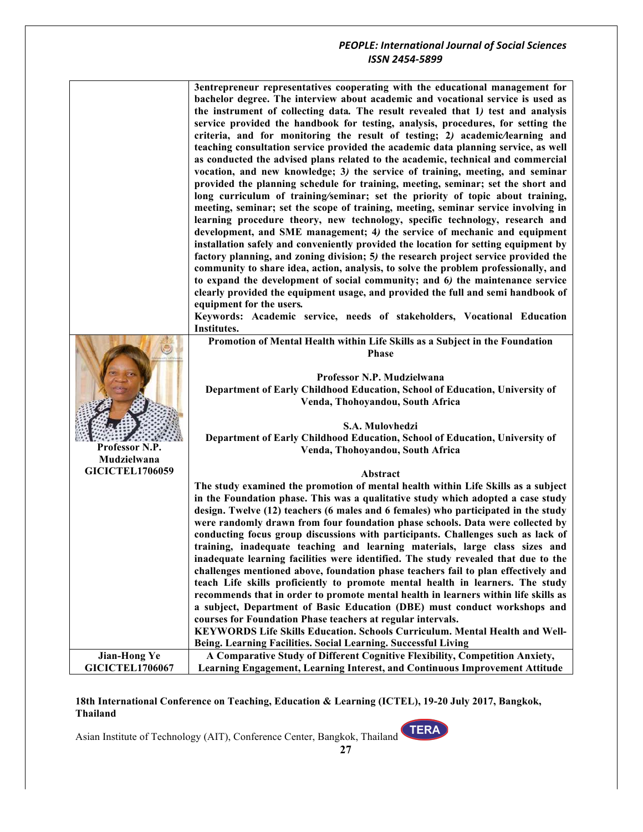|                        | 3entrepreneur representatives cooperating with the educational management for                                                            |
|------------------------|------------------------------------------------------------------------------------------------------------------------------------------|
|                        | bachelor degree. The interview about academic and vocational service is used as                                                          |
|                        | the instrument of collecting data. The result revealed that 1) test and analysis                                                         |
|                        | service provided the handbook for testing, analysis, procedures, for setting the                                                         |
|                        | criteria, and for monitoring the result of testing; 2) academic/learning and                                                             |
|                        | teaching consultation service provided the academic data planning service, as well                                                       |
|                        | as conducted the advised plans related to the academic, technical and commercial                                                         |
|                        | vocation, and new knowledge; 3) the service of training, meeting, and seminar                                                            |
|                        | provided the planning schedule for training, meeting, seminar; set the short and                                                         |
|                        | long curriculum of training/seminar; set the priority of topic about training,                                                           |
|                        | meeting, seminar; set the scope of training, meeting, seminar service involving in                                                       |
|                        | learning procedure theory, new technology, specific technology, research and                                                             |
|                        | development, and SME management; 4) the service of mechanic and equipment                                                                |
|                        | installation safely and conveniently provided the location for setting equipment by                                                      |
|                        | factory planning, and zoning division; 5) the research project service provided the                                                      |
|                        | community to share idea, action, analysis, to solve the problem professionally, and                                                      |
|                        | to expand the development of social community; and 6) the maintenance service                                                            |
|                        | clearly provided the equipment usage, and provided the full and semi handbook of                                                         |
|                        | equipment for the users.                                                                                                                 |
|                        | Keywords: Academic service, needs of stakeholders, Vocational Education                                                                  |
|                        | Institutes.                                                                                                                              |
|                        | Promotion of Mental Health within Life Skills as a Subject in the Foundation                                                             |
|                        | <b>Phase</b>                                                                                                                             |
|                        |                                                                                                                                          |
|                        | Professor N.P. Mudzielwana                                                                                                               |
|                        | Department of Early Childhood Education, School of Education, University of<br>Venda, Thohoyandou, South Africa                          |
|                        |                                                                                                                                          |
|                        | S.A. Mulovhedzi                                                                                                                          |
|                        | Department of Early Childhood Education, School of Education, University of                                                              |
| Professor N.P.         | Venda, Thohoyandou, South Africa                                                                                                         |
| Mudzielwana            |                                                                                                                                          |
| <b>GICICTEL1706059</b> | Abstract                                                                                                                                 |
|                        | The study examined the promotion of mental health within Life Skills as a subject                                                        |
|                        | in the Foundation phase. This was a qualitative study which adopted a case study                                                         |
|                        | design. Twelve (12) teachers (6 males and 6 females) who participated in the study                                                       |
|                        | were randomly drawn from four foundation phase schools. Data were collected by                                                           |
|                        | conducting focus group discussions with participants. Challenges such as lack of                                                         |
|                        | training, inadequate teaching and learning materials, large class sizes and                                                              |
|                        | inadequate learning facilities were identified. The study revealed that due to the                                                       |
|                        | challenges mentioned above, foundation phase teachers fail to plan effectively and                                                       |
|                        | teach Life skills proficiently to promote mental health in learners. The study                                                           |
|                        | recommends that in order to promote mental health in learners within life skills as                                                      |
|                        | a subject, Department of Basic Education (DBE) must conduct workshops and<br>courses for Foundation Phase teachers at regular intervals. |
|                        | <b>KEYWORDS Life Skills Education. Schools Curriculum. Mental Health and Well-</b>                                                       |
|                        | Being. Learning Facilities. Social Learning. Successful Living                                                                           |
| <b>Jian-Hong Ye</b>    | A Comparative Study of Different Cognitive Flexibility, Competition Anxiety,                                                             |
| <b>GICICTEL1706067</b> | Learning Engagement, Learning Interest, and Continuous Improvement Attitude                                                              |

**18th International Conference on Teaching, Education & Learning (ICTEL), 19-20 July 2017, Bangkok, Thailand**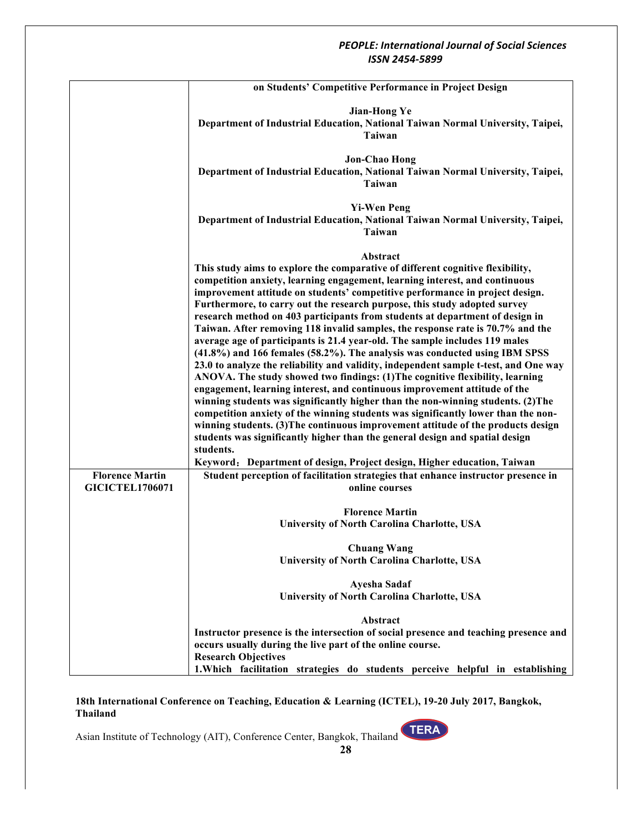|                        | on Students' Competitive Performance in Project Design                                                                                                                |
|------------------------|-----------------------------------------------------------------------------------------------------------------------------------------------------------------------|
|                        | <b>Jian-Hong Ye</b>                                                                                                                                                   |
|                        | Department of Industrial Education, National Taiwan Normal University, Taipei,                                                                                        |
|                        | Taiwan                                                                                                                                                                |
|                        | <b>Jon-Chao Hong</b>                                                                                                                                                  |
|                        | Department of Industrial Education, National Taiwan Normal University, Taipei,                                                                                        |
|                        | Taiwan                                                                                                                                                                |
|                        |                                                                                                                                                                       |
|                        | <b>Yi-Wen Peng</b>                                                                                                                                                    |
|                        | Department of Industrial Education, National Taiwan Normal University, Taipei,<br>Taiwan                                                                              |
|                        |                                                                                                                                                                       |
|                        | Abstract                                                                                                                                                              |
|                        | This study aims to explore the comparative of different cognitive flexibility,                                                                                        |
|                        | competition anxiety, learning engagement, learning interest, and continuous                                                                                           |
|                        | improvement attitude on students' competitive performance in project design.                                                                                          |
|                        | Furthermore, to carry out the research purpose, this study adopted survey<br>research method on 403 participants from students at department of design in             |
|                        | Taiwan. After removing 118 invalid samples, the response rate is 70.7% and the                                                                                        |
|                        | average age of participants is 21.4 year-old. The sample includes 119 males                                                                                           |
|                        | $(41.8\%)$ and 166 females (58.2%). The analysis was conducted using IBM SPSS                                                                                         |
|                        | 23.0 to analyze the reliability and validity, independent sample t-test, and One way                                                                                  |
|                        | ANOVA. The study showed two findings: (1) The cognitive flexibility, learning                                                                                         |
|                        | engagement, learning interest, and continuous improvement attitude of the                                                                                             |
|                        | winning students was significantly higher than the non-winning students. (2) The                                                                                      |
|                        | competition anxiety of the winning students was significantly lower than the non-<br>winning students. (3) The continuous improvement attitude of the products design |
|                        | students was significantly higher than the general design and spatial design                                                                                          |
|                        | students.                                                                                                                                                             |
|                        | Keyword: Department of design, Project design, Higher education, Taiwan                                                                                               |
| <b>Florence Martin</b> | Student perception of facilitation strategies that enhance instructor presence in                                                                                     |
| <b>GICICTEL1706071</b> | online courses                                                                                                                                                        |
|                        | <b>Florence Martin</b>                                                                                                                                                |
|                        | University of North Carolina Charlotte, USA                                                                                                                           |
|                        |                                                                                                                                                                       |
|                        | <b>Chuang Wang</b><br>University of North Carolina Charlotte, USA                                                                                                     |
|                        |                                                                                                                                                                       |
|                        | Ayesha Sadaf                                                                                                                                                          |
|                        | University of North Carolina Charlotte, USA                                                                                                                           |
|                        | <b>Abstract</b>                                                                                                                                                       |
|                        | Instructor presence is the intersection of social presence and teaching presence and                                                                                  |
|                        | occurs usually during the live part of the online course.                                                                                                             |
|                        | <b>Research Objectives</b>                                                                                                                                            |
|                        | 1. Which facilitation strategies do students perceive helpful in establishing                                                                                         |

**18th International Conference on Teaching, Education & Learning (ICTEL), 19-20 July 2017, Bangkok, Thailand**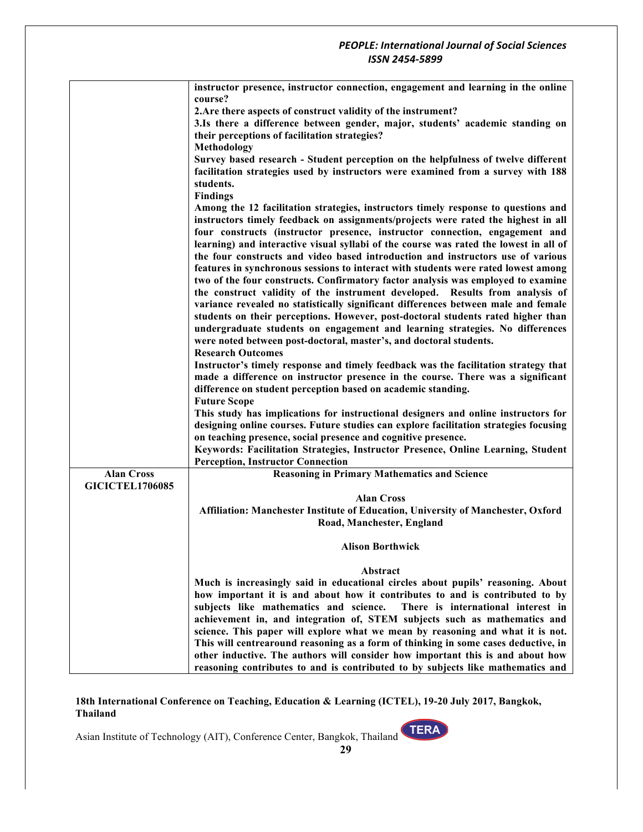|                        | instructor presence, instructor connection, engagement and learning in the online                                                                                      |
|------------------------|------------------------------------------------------------------------------------------------------------------------------------------------------------------------|
|                        | course?                                                                                                                                                                |
|                        | 2. Are there aspects of construct validity of the instrument?                                                                                                          |
|                        | 3.Is there a difference between gender, major, students' academic standing on                                                                                          |
|                        | their perceptions of facilitation strategies?                                                                                                                          |
|                        | Methodology                                                                                                                                                            |
|                        | Survey based research - Student perception on the helpfulness of twelve different                                                                                      |
|                        | facilitation strategies used by instructors were examined from a survey with 188                                                                                       |
|                        | students.                                                                                                                                                              |
|                        | <b>Findings</b>                                                                                                                                                        |
|                        | Among the 12 facilitation strategies, instructors timely response to questions and                                                                                     |
|                        | instructors timely feedback on assignments/projects were rated the highest in all                                                                                      |
|                        | four constructs (instructor presence, instructor connection, engagement and                                                                                            |
|                        | learning) and interactive visual syllabi of the course was rated the lowest in all of                                                                                  |
|                        | the four constructs and video based introduction and instructors use of various                                                                                        |
|                        | features in synchronous sessions to interact with students were rated lowest among<br>two of the four constructs. Confirmatory factor analysis was employed to examine |
|                        | the construct validity of the instrument developed. Results from analysis of                                                                                           |
|                        | variance revealed no statistically significant differences between male and female                                                                                     |
|                        | students on their perceptions. However, post-doctoral students rated higher than                                                                                       |
|                        | undergraduate students on engagement and learning strategies. No differences                                                                                           |
|                        | were noted between post-doctoral, master's, and doctoral students.                                                                                                     |
|                        | <b>Research Outcomes</b>                                                                                                                                               |
|                        | Instructor's timely response and timely feedback was the facilitation strategy that                                                                                    |
|                        | made a difference on instructor presence in the course. There was a significant                                                                                        |
|                        | difference on student perception based on academic standing.                                                                                                           |
|                        | <b>Future Scope</b>                                                                                                                                                    |
|                        | This study has implications for instructional designers and online instructors for                                                                                     |
|                        | designing online courses. Future studies can explore facilitation strategies focusing                                                                                  |
|                        | on teaching presence, social presence and cognitive presence.                                                                                                          |
|                        | Keywords: Facilitation Strategies, Instructor Presence, Online Learning, Student                                                                                       |
|                        | <b>Perception, Instructor Connection</b>                                                                                                                               |
| <b>Alan Cross</b>      | <b>Reasoning in Primary Mathematics and Science</b>                                                                                                                    |
| <b>GICICTEL1706085</b> |                                                                                                                                                                        |
|                        | <b>Alan Cross</b>                                                                                                                                                      |
|                        | Affiliation: Manchester Institute of Education, University of Manchester, Oxford                                                                                       |
|                        | Road, Manchester, England                                                                                                                                              |
|                        | <b>Alison Borthwick</b>                                                                                                                                                |
|                        |                                                                                                                                                                        |
|                        | Abstract                                                                                                                                                               |
|                        | Much is increasingly said in educational circles about pupils' reasoning. About                                                                                        |
|                        | how important it is and about how it contributes to and is contributed to by                                                                                           |
|                        | subjects like mathematics and science. There is international interest in                                                                                              |
|                        | achievement in, and integration of, STEM subjects such as mathematics and                                                                                              |
|                        | science. This paper will explore what we mean by reasoning and what it is not.                                                                                         |
|                        | This will centrearound reasoning as a form of thinking in some cases deductive, in                                                                                     |
|                        | other inductive. The authors will consider how important this is and about how                                                                                         |
|                        | reasoning contributes to and is contributed to by subjects like mathematics and                                                                                        |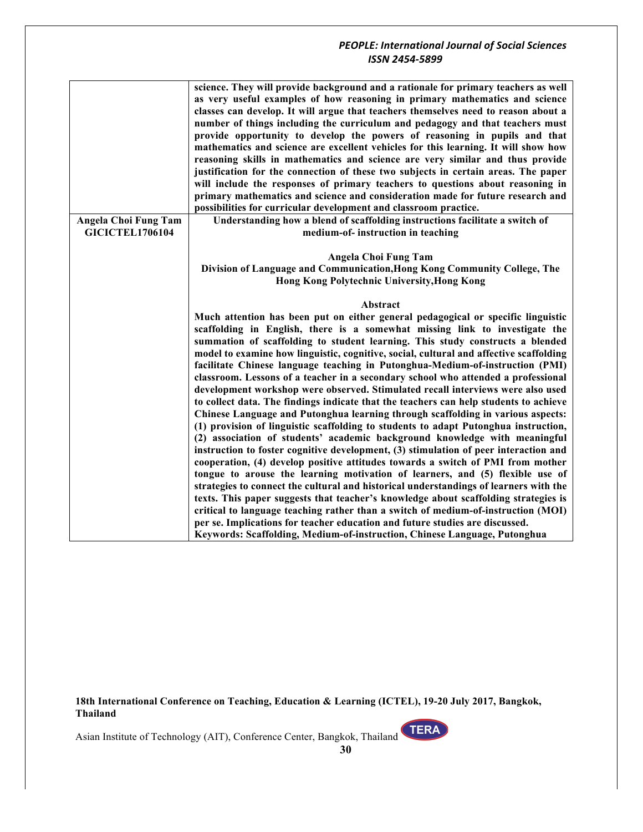|                             | science. They will provide background and a rationale for primary teachers as well<br>as very useful examples of how reasoning in primary mathematics and science<br>classes can develop. It will argue that teachers themselves need to reason about a<br>number of things including the curriculum and pedagogy and that teachers must<br>provide opportunity to develop the powers of reasoning in pupils and that<br>mathematics and science are excellent vehicles for this learning. It will show how<br>reasoning skills in mathematics and science are very similar and thus provide<br>justification for the connection of these two subjects in certain areas. The paper<br>will include the responses of primary teachers to questions about reasoning in<br>primary mathematics and science and consideration made for future research and<br>possibilities for curricular development and classroom practice.                                                                                                                                                                                                      |
|-----------------------------|---------------------------------------------------------------------------------------------------------------------------------------------------------------------------------------------------------------------------------------------------------------------------------------------------------------------------------------------------------------------------------------------------------------------------------------------------------------------------------------------------------------------------------------------------------------------------------------------------------------------------------------------------------------------------------------------------------------------------------------------------------------------------------------------------------------------------------------------------------------------------------------------------------------------------------------------------------------------------------------------------------------------------------------------------------------------------------------------------------------------------------|
| <b>Angela Choi Fung Tam</b> | Understanding how a blend of scaffolding instructions facilitate a switch of                                                                                                                                                                                                                                                                                                                                                                                                                                                                                                                                                                                                                                                                                                                                                                                                                                                                                                                                                                                                                                                    |
| <b>GICICTEL1706104</b>      | medium-of- instruction in teaching                                                                                                                                                                                                                                                                                                                                                                                                                                                                                                                                                                                                                                                                                                                                                                                                                                                                                                                                                                                                                                                                                              |
|                             | Angela Choi Fung Tam<br>Division of Language and Communication, Hong Kong Community College, The<br>Hong Kong Polytechnic University, Hong Kong                                                                                                                                                                                                                                                                                                                                                                                                                                                                                                                                                                                                                                                                                                                                                                                                                                                                                                                                                                                 |
|                             | <b>Abstract</b>                                                                                                                                                                                                                                                                                                                                                                                                                                                                                                                                                                                                                                                                                                                                                                                                                                                                                                                                                                                                                                                                                                                 |
|                             | Much attention has been put on either general pedagogical or specific linguistic<br>scaffolding in English, there is a somewhat missing link to investigate the<br>summation of scaffolding to student learning. This study constructs a blended<br>model to examine how linguistic, cognitive, social, cultural and affective scaffolding<br>facilitate Chinese language teaching in Putonghua-Medium-of-instruction (PMI)<br>classroom. Lessons of a teacher in a secondary school who attended a professional<br>development workshop were observed. Stimulated recall interviews were also used<br>to collect data. The findings indicate that the teachers can help students to achieve<br>Chinese Language and Putonghua learning through scaffolding in various aspects:<br>(1) provision of linguistic scaffolding to students to adapt Putonghua instruction,<br>(2) association of students' academic background knowledge with meaningful<br>instruction to foster cognitive development, (3) stimulation of peer interaction and<br>cooperation, (4) develop positive attitudes towards a switch of PMI from mother |
|                             |                                                                                                                                                                                                                                                                                                                                                                                                                                                                                                                                                                                                                                                                                                                                                                                                                                                                                                                                                                                                                                                                                                                                 |
|                             | tongue to arouse the learning motivation of learners, and (5) flexible use of                                                                                                                                                                                                                                                                                                                                                                                                                                                                                                                                                                                                                                                                                                                                                                                                                                                                                                                                                                                                                                                   |
|                             | strategies to connect the cultural and historical understandings of learners with the                                                                                                                                                                                                                                                                                                                                                                                                                                                                                                                                                                                                                                                                                                                                                                                                                                                                                                                                                                                                                                           |
|                             | texts. This paper suggests that teacher's knowledge about scaffolding strategies is                                                                                                                                                                                                                                                                                                                                                                                                                                                                                                                                                                                                                                                                                                                                                                                                                                                                                                                                                                                                                                             |
|                             | critical to language teaching rather than a switch of medium-of-instruction (MOI)                                                                                                                                                                                                                                                                                                                                                                                                                                                                                                                                                                                                                                                                                                                                                                                                                                                                                                                                                                                                                                               |
|                             | per se. Implications for teacher education and future studies are discussed.                                                                                                                                                                                                                                                                                                                                                                                                                                                                                                                                                                                                                                                                                                                                                                                                                                                                                                                                                                                                                                                    |
|                             | Keywords: Scaffolding, Medium-of-instruction, Chinese Language, Putonghua                                                                                                                                                                                                                                                                                                                                                                                                                                                                                                                                                                                                                                                                                                                                                                                                                                                                                                                                                                                                                                                       |

**18th International Conference on Teaching, Education & Learning (ICTEL), 19-20 July 2017, Bangkok, Thailand**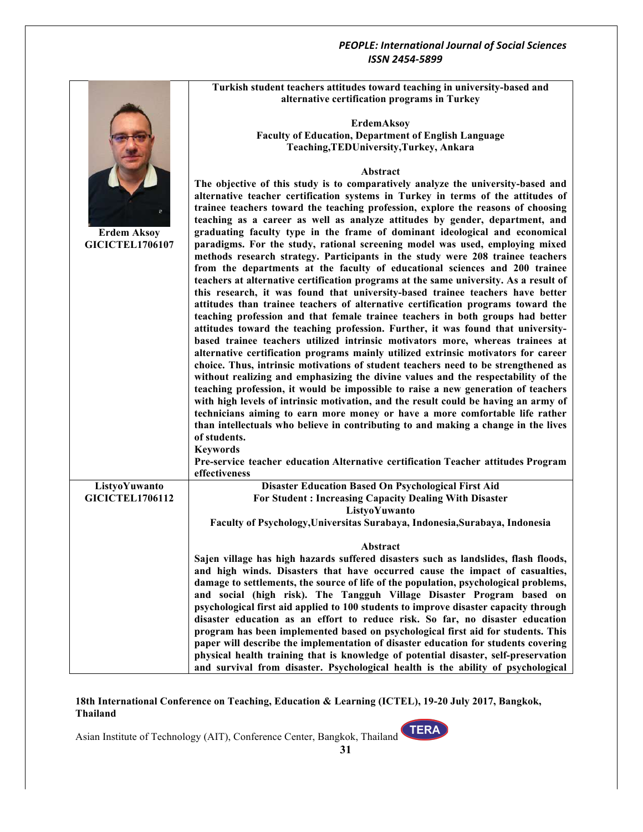|                        | Turkish student teachers attitudes toward teaching in university-based and                                                                                             |
|------------------------|------------------------------------------------------------------------------------------------------------------------------------------------------------------------|
|                        | alternative certification programs in Turkey                                                                                                                           |
|                        |                                                                                                                                                                        |
|                        | ErdemAksoy                                                                                                                                                             |
|                        | <b>Faculty of Education, Department of English Language</b>                                                                                                            |
|                        | Teaching, TEDUniversity, Turkey, Ankara                                                                                                                                |
|                        |                                                                                                                                                                        |
|                        | Abstract<br>The objective of this study is to comparatively analyze the university-based and                                                                           |
|                        | alternative teacher certification systems in Turkey in terms of the attitudes of                                                                                       |
|                        | trainee teachers toward the teaching profession, explore the reasons of choosing                                                                                       |
|                        | teaching as a career as well as analyze attitudes by gender, department, and                                                                                           |
| <b>Erdem Aksoy</b>     | graduating faculty type in the frame of dominant ideological and economical                                                                                            |
| <b>GICICTEL1706107</b> | paradigms. For the study, rational screening model was used, employing mixed                                                                                           |
|                        | methods research strategy. Participants in the study were 208 trainee teachers                                                                                         |
|                        | from the departments at the faculty of educational sciences and 200 trainee                                                                                            |
|                        | teachers at alternative certification programs at the same university. As a result of                                                                                  |
|                        | this research, it was found that university-based trainee teachers have better                                                                                         |
|                        | attitudes than trainee teachers of alternative certification programs toward the                                                                                       |
|                        | teaching profession and that female trainee teachers in both groups had better                                                                                         |
|                        | attitudes toward the teaching profession. Further, it was found that university-                                                                                       |
|                        | based trainee teachers utilized intrinsic motivators more, whereas trainees at                                                                                         |
|                        | alternative certification programs mainly utilized extrinsic motivators for career                                                                                     |
|                        | choice. Thus, intrinsic motivations of student teachers need to be strengthened as                                                                                     |
|                        | without realizing and emphasizing the divine values and the respectability of the<br>teaching profession, it would be impossible to raise a new generation of teachers |
|                        | with high levels of intrinsic motivation, and the result could be having an army of                                                                                    |
|                        | technicians aiming to earn more money or have a more comfortable life rather                                                                                           |
|                        | than intellectuals who believe in contributing to and making a change in the lives                                                                                     |
|                        | of students.                                                                                                                                                           |
|                        | <b>Keywords</b>                                                                                                                                                        |
|                        | Pre-service teacher education Alternative certification Teacher attitudes Program                                                                                      |
|                        | effectiveness                                                                                                                                                          |
| ListyoYuwanto          | Disaster Education Based On Psychological First Aid                                                                                                                    |
| <b>GICICTEL1706112</b> | For Student: Increasing Capacity Dealing With Disaster                                                                                                                 |
|                        | ListyoYuwanto                                                                                                                                                          |
|                        | Faculty of Psychology, Universitas Surabaya, Indonesia, Surabaya, Indonesia                                                                                            |
|                        | Abstract                                                                                                                                                               |
|                        | Sajen village has high hazards suffered disasters such as landslides, flash floods,                                                                                    |
|                        | and high winds. Disasters that have occurred cause the impact of casualties,                                                                                           |
|                        | damage to settlements, the source of life of the population, psychological problems,                                                                                   |
|                        | and social (high risk). The Tangguh Village Disaster Program based on                                                                                                  |
|                        | psychological first aid applied to 100 students to improve disaster capacity through                                                                                   |
|                        | disaster education as an effort to reduce risk. So far, no disaster education                                                                                          |
|                        | program has been implemented based on psychological first aid for students. This                                                                                       |
|                        | paper will describe the implementation of disaster education for students covering                                                                                     |
|                        | physical health training that is knowledge of potential disaster, self-preservation                                                                                    |
|                        | and survival from disaster. Psychological health is the ability of psychological                                                                                       |

**18th International Conference on Teaching, Education & Learning (ICTEL), 19-20 July 2017, Bangkok, Thailand**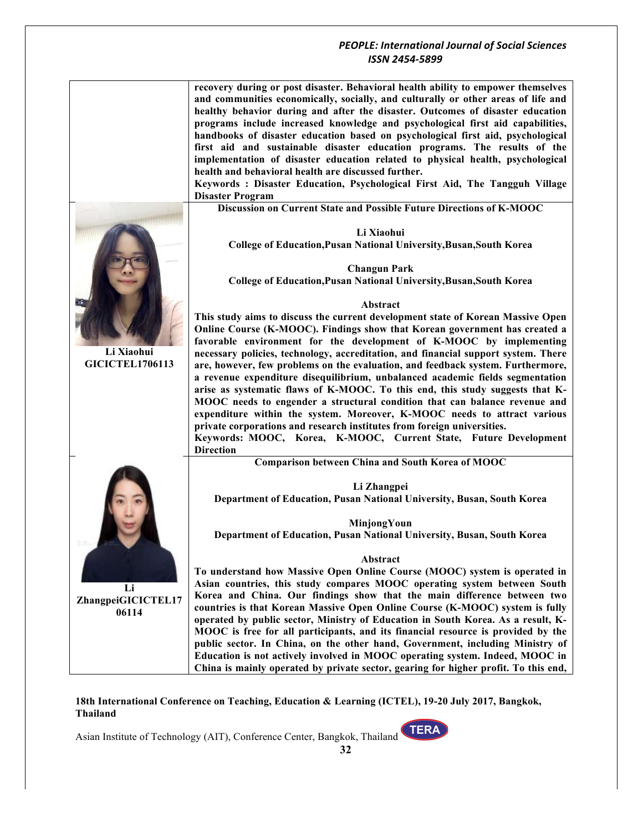|                        | recovery during or post disaster. Behavioral health ability to empower themselves   |
|------------------------|-------------------------------------------------------------------------------------|
|                        | and communities economically, socially, and culturally or other areas of life and   |
|                        | healthy behavior during and after the disaster. Outcomes of disaster education      |
|                        | programs include increased knowledge and psychological first aid capabilities,      |
|                        | handbooks of disaster education based on psychological first aid, psychological     |
|                        | first aid and sustainable disaster education programs. The results of the           |
|                        | implementation of disaster education related to physical health, psychological      |
|                        | health and behavioral health are discussed further.                                 |
|                        | Keywords: Disaster Education, Psychological First Aid, The Tangguh Village          |
|                        |                                                                                     |
|                        | <b>Disaster Program</b>                                                             |
|                        | Discussion on Current State and Possible Future Directions of K-MOOC                |
|                        | Li Xiaohui                                                                          |
|                        | College of Education, Pusan National University, Busan, South Korea                 |
|                        |                                                                                     |
|                        |                                                                                     |
|                        | <b>Changun Park</b>                                                                 |
|                        | College of Education, Pusan National University, Busan, South Korea                 |
|                        |                                                                                     |
|                        | Abstract                                                                            |
|                        | This study aims to discuss the current development state of Korean Massive Open     |
|                        | Online Course (K-MOOC). Findings show that Korean government has created a          |
|                        | favorable environment for the development of K-MOOC by implementing                 |
| Li Xiaohui             | necessary policies, technology, accreditation, and financial support system. There  |
| <b>GICICTEL1706113</b> | are, however, few problems on the evaluation, and feedback system. Furthermore,     |
|                        | a revenue expenditure disequilibrium, unbalanced academic fields segmentation       |
|                        |                                                                                     |
|                        | arise as systematic flaws of K-MOOC. To this end, this study suggests that K-       |
|                        | MOOC needs to engender a structural condition that can balance revenue and          |
|                        | expenditure within the system. Moreover, K-MOOC needs to attract various            |
|                        | private corporations and research institutes from foreign universities.             |
|                        | Keywords: MOOC, Korea, K-MOOC, Current State, Future Development                    |
|                        | <b>Direction</b>                                                                    |
|                        | Comparison between China and South Korea of MOOC                                    |
|                        | Li Zhangpei                                                                         |
|                        | Department of Education, Pusan National University, Busan, South Korea              |
|                        |                                                                                     |
|                        | MinjongYoun                                                                         |
|                        | Department of Education, Pusan National University, Busan, South Korea              |
|                        |                                                                                     |
|                        | Abstract                                                                            |
|                        |                                                                                     |
|                        | To understand how Massive Open Online Course (MOOC) system is operated in           |
| Li                     | Asian countries, this study compares MOOC operating system between South            |
| ZhangpeiGICICTEL17     | Korea and China. Our findings show that the main difference between two             |
| 06114                  | countries is that Korean Massive Open Online Course (K-MOOC) system is fully        |
|                        | operated by public sector, Ministry of Education in South Korea. As a result, K-    |
|                        | MOOC is free for all participants, and its financial resource is provided by the    |
|                        | public sector. In China, on the other hand, Government, including Ministry of       |
|                        | Education is not actively involved in MOOC operating system. Indeed, MOOC in        |
|                        |                                                                                     |
|                        | China is mainly operated by private sector, gearing for higher profit. To this end, |

**18th International Conference on Teaching, Education & Learning (ICTEL), 19-20 July 2017, Bangkok, Thailand**

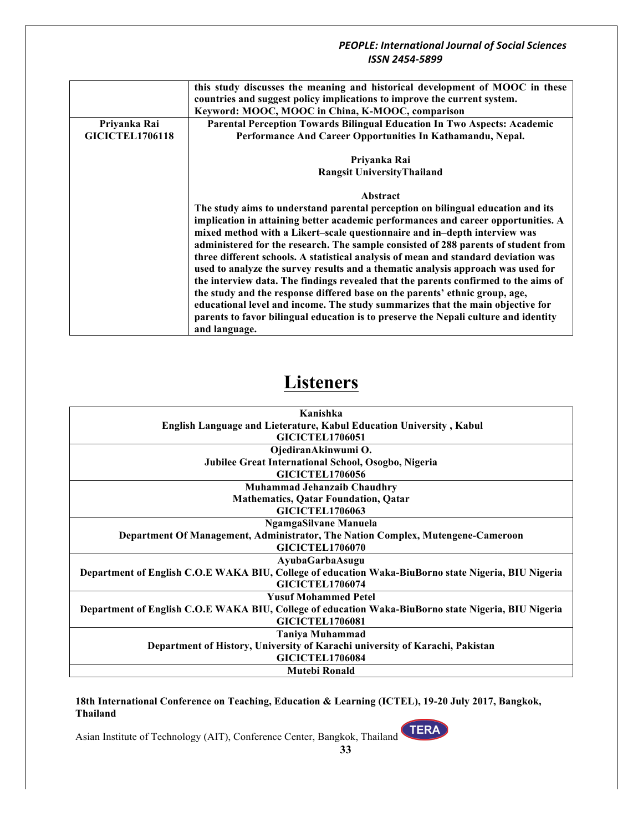|                        | this study discusses the meaning and historical development of MOOC in these        |
|------------------------|-------------------------------------------------------------------------------------|
|                        | countries and suggest policy implications to improve the current system.            |
|                        | Keyword: MOOC, MOOC in China, K-MOOC, comparison                                    |
| Priyanka Rai           | Parental Perception Towards Bilingual Education In Two Aspects: Academic            |
| <b>GICICTEL1706118</b> | Performance And Career Opportunities In Kathamandu, Nepal.                          |
|                        | Priyanka Rai                                                                        |
|                        | <b>Rangsit UniversityThailand</b>                                                   |
|                        | Abstract                                                                            |
|                        | The study aims to understand parental perception on bilingual education and its     |
|                        | implication in attaining better academic performances and career opportunities. A   |
|                        | mixed method with a Likert-scale questionnaire and in-depth interview was           |
|                        | administered for the research. The sample consisted of 288 parents of student from  |
|                        | three different schools. A statistical analysis of mean and standard deviation was  |
|                        | used to analyze the survey results and a thematic analysis approach was used for    |
|                        | the interview data. The findings revealed that the parents confirmed to the aims of |
|                        | the study and the response differed base on the parents' ethnic group, age,         |
|                        | educational level and income. The study summarizes that the main objective for      |
|                        | parents to favor bilingual education is to preserve the Nepali culture and identity |
|                        | and language.                                                                       |
|                        |                                                                                     |

# **Listeners**

| Kanishka                                                                                            |
|-----------------------------------------------------------------------------------------------------|
| English Language and Lieterature, Kabul Education University, Kabul                                 |
| <b>GICICTEL1706051</b>                                                                              |
| OjediranAkinwumi O.                                                                                 |
| Jubilee Great International School, Osogbo, Nigeria                                                 |
| <b>GICICTEL1706056</b>                                                                              |
| <b>Muhammad Jehanzaib Chaudhry</b>                                                                  |
| <b>Mathematics, Qatar Foundation, Qatar</b>                                                         |
| <b>GICICTEL1706063</b>                                                                              |
| NgamgaSilvane Manuela                                                                               |
| Department Of Management, Administrator, The Nation Complex, Mutengene-Cameroon                     |
| <b>GICICTEL1706070</b>                                                                              |
| AyubaGarbaAsugu                                                                                     |
| Department of English C.O.E WAKA BIU, College of education Waka-BiuBorno state Nigeria, BIU Nigeria |
| <b>GICICTEL1706074</b>                                                                              |
| <b>Yusuf Mohammed Petel</b>                                                                         |
| Department of English C.O.E WAKA BIU, College of education Waka-BiuBorno state Nigeria, BIU Nigeria |
| <b>GICICTEL1706081</b>                                                                              |
| <b>Taniya Muhammad</b>                                                                              |
| Department of History, University of Karachi university of Karachi, Pakistan                        |
| <b>GICICTEL1706084</b>                                                                              |
| <b>Mutebi Ronald</b>                                                                                |
|                                                                                                     |

**18th International Conference on Teaching, Education & Learning (ICTEL), 19-20 July 2017, Bangkok, Thailand**